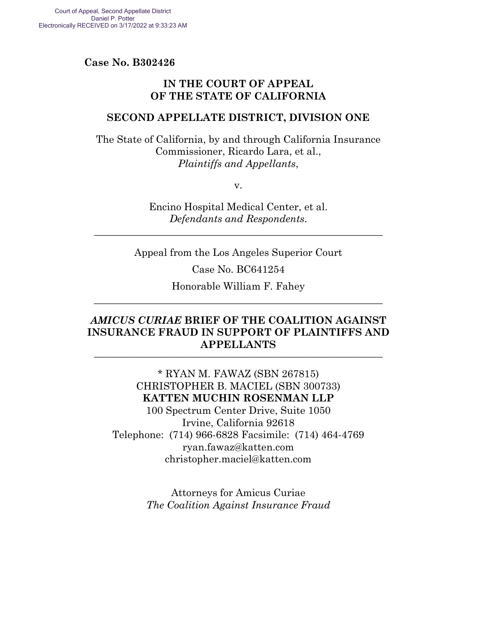**Case No. B302426** 

## **IN THE COURT OF APPEAL OF THE STATE OF CALIFORNIA**

#### **SECOND APPELLATE DISTRICT, DIVISION ONE**

The State of California, by and through California Insurance Commissioner, Ricardo Lara, et al., *Plaintiffs and Appellants*,

v.

Encino Hospital Medical Center, et al. *Defendants and Respondents*.

\_\_\_\_\_\_\_\_\_\_\_\_\_\_\_\_\_\_\_\_\_\_\_\_\_\_\_\_\_\_\_\_\_\_\_\_\_\_\_\_\_\_\_\_\_\_\_\_\_\_\_\_\_\_\_\_\_

Appeal from the Los Angeles Superior Court

Case No. BC641254

Honorable William F. Fahey \_\_\_\_\_\_\_\_\_\_\_\_\_\_\_\_\_\_\_\_\_\_\_\_\_\_\_\_\_\_\_\_\_\_\_\_\_\_\_\_\_\_\_\_\_\_\_\_\_\_\_\_\_\_\_\_\_

## *AMICUS CURIAE* **BRIEF OF THE COALITION AGAINST INSURANCE FRAUD IN SUPPORT OF PLAINTIFFS AND APPELLANTS** \_\_\_\_\_\_\_\_\_\_\_\_\_\_\_\_\_\_\_\_\_\_\_\_\_\_\_\_\_\_\_\_\_\_\_\_\_\_\_\_\_\_\_\_\_\_\_\_\_\_\_\_\_\_\_\_\_

\* RYAN M. FAWAZ (SBN 267815) CHRISTOPHER B. MACIEL (SBN 300733) **KATTEN MUCHIN ROSENMAN LLP**  100 Spectrum Center Drive, Suite 1050 Irvine, California 92618 Telephone: (714) 966-6828 Facsimile: (714) 464-4769 ryan.fawaz@katten.com christopher.maciel@katten.com

> Attorneys for Amicus Curiae *The Coalition Against Insurance Fraud*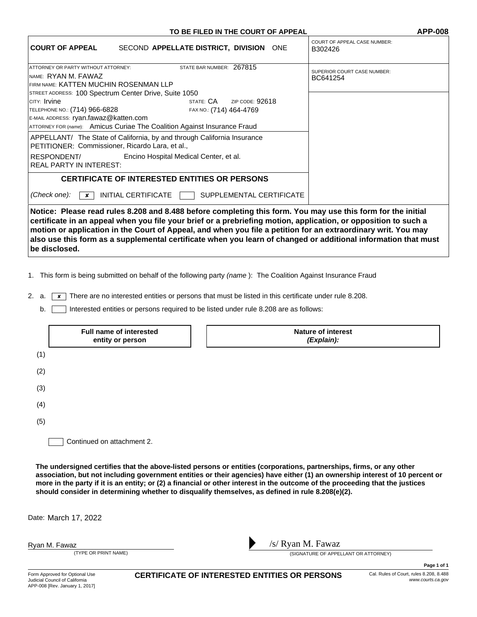#### **TO BE FILED IN THE COURT OF APPEAL APP-008**

| <b>COURT OF APPEAL</b>                                                                                                                                                                                                                                                                                                                                                                                                                                             | SECOND APPELLATE DISTRICT, DIVISION ONE                                                                                                                                                     |                          | <b>COURT OF APPEAL CASE NUMBER:</b><br>B302426 |
|--------------------------------------------------------------------------------------------------------------------------------------------------------------------------------------------------------------------------------------------------------------------------------------------------------------------------------------------------------------------------------------------------------------------------------------------------------------------|---------------------------------------------------------------------------------------------------------------------------------------------------------------------------------------------|--------------------------|------------------------------------------------|
| ATTORNEY OR PARTY WITHOUT ATTORNEY:<br>INAME: RYAN M. FAWAZ<br>FIRM NAME: KATTEN MUCHIN ROSENMAN LLP                                                                                                                                                                                                                                                                                                                                                               | STATE BAR NUMBER: 267815                                                                                                                                                                    |                          | <b>SUPERIOR COURT CASE NUMBER:</b><br>BC641254 |
| STREET ADDRESS: 100 Spectrum Center Drive, Suite 1050<br>Icity: Irvine<br>TELEPHONE NO.: (714) 966-6828<br>E-MAIL ADDRESS: ryan.fawaz@katten.com<br>PETITIONER: Commissioner, Ricardo Lara, et al.,                                                                                                                                                                                                                                                                | state: CA<br>FAX NO.: (714) 464-4769<br>ATTORNEY FOR (name): Amicus Curiae The Coalition Against Insurance Fraud<br>APPELLANT/ The State of California, by and through California Insurance | ZIP CODE: $92618$        |                                                |
| RESPONDENT/<br>Encino Hospital Medical Center, et al.<br><b>REAL PARTY IN INTEREST:</b>                                                                                                                                                                                                                                                                                                                                                                            |                                                                                                                                                                                             |                          |                                                |
|                                                                                                                                                                                                                                                                                                                                                                                                                                                                    | <b>CERTIFICATE OF INTERESTED ENTITIES OR PERSONS</b>                                                                                                                                        |                          |                                                |
| (Check one):<br>$\boldsymbol{\times}$                                                                                                                                                                                                                                                                                                                                                                                                                              | INITIAL CERTIFICATE [                                                                                                                                                                       | SUPPLEMENTAL CERTIFICATE |                                                |
| Notice: Please read rules 8.208 and 8.488 before completing this form. You may use this form for the initial<br>certificate in an appeal when you file your brief or a prebriefing motion, application, or opposition to such a<br>motion or application in the Court of Appeal, and when you file a petition for an extraordinary writ. You may<br>also use this form as a supplemental certificate when you learn of changed or additional information that must |                                                                                                                                                                                             |                          |                                                |

1. This form is being submitted on behalf of the following party (name): The Coalition Against Insurance Fraud

2. a.  $\boxed{\mathbf{x}}$  There are no interested entities or persons that must be listed in this certificate under rule 8.208.

b. Interested entities or persons required to be listed under rule 8.208 are as follows:

|     | Full name of interested<br>entity or person | <b>Nature of interest</b><br>(Explain): |
|-----|---------------------------------------------|-----------------------------------------|
| (1) |                                             |                                         |
| (2) |                                             |                                         |
| (3) |                                             |                                         |
| (4) |                                             |                                         |
| (5) |                                             |                                         |
|     | Continued on attachment 2.                  |                                         |

**The undersigned certifies that the above-listed persons or entities (corporations, partnerships, firms, or any other association, but not including government entities or their agencies) have either (1) an ownership interest of 10 percent or more in the party if it is an entity; or (2) a financial or other interest in the outcome of the proceeding that the justices should consider in determining whether to disqualify themselves, as defined in rule 8.208(e)(2).**

Date: March 17, 2022

Ryan M. Fawaz

**be disclosed.**



(TYPE OR PRINT NAME) (SIGNATURE OF APPELLANT OR ATTORNEY)

CERTIFICATE OF INTERESTED ENTITIES OR PERSONS Cal. Rules of Court, rules 8.208, 8.488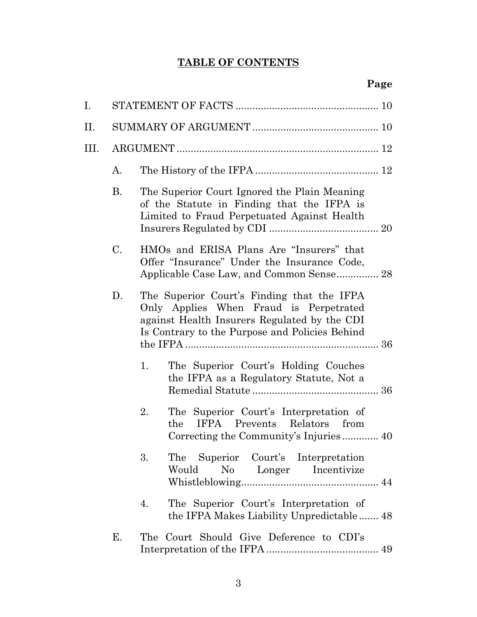# **TABLE OF CONTENTS**

| Ι.   |           |                                                                                                                                                                                        |  |  |
|------|-----------|----------------------------------------------------------------------------------------------------------------------------------------------------------------------------------------|--|--|
| П.   |           |                                                                                                                                                                                        |  |  |
| III. |           |                                                                                                                                                                                        |  |  |
|      | A.        |                                                                                                                                                                                        |  |  |
|      | <b>B.</b> | The Superior Court Ignored the Plain Meaning<br>of the Statute in Finding that the IFPA is<br>Limited to Fraud Perpetuated Against Health                                              |  |  |
|      | C.        | HMOs and ERISA Plans Are "Insurers" that<br>Offer "Insurance" Under the Insurance Code,<br>Applicable Case Law, and Common Sense 28                                                    |  |  |
|      | D.        | The Superior Court's Finding that the IFPA<br>Only Applies When Fraud is Perpetrated<br>against Health Insurers Regulated by the CDI<br>Is Contrary to the Purpose and Policies Behind |  |  |
|      |           | The Superior Court's Holding Couches<br>1.<br>the IFPA as a Regulatory Statute, Not a                                                                                                  |  |  |
|      |           | 2.<br>The Superior Court's Interpretation of<br>IFPA Prevents Relators<br>from<br>the                                                                                                  |  |  |
|      |           | 3.<br>The Superior Court's Interpretation<br>Would<br>No Longer Incentivize                                                                                                            |  |  |
|      |           | The Superior Court's Interpretation of<br>4.<br>the IFPA Makes Liability Unpredictable 48                                                                                              |  |  |
|      | Е.        | The Court Should Give Deference to CDI's                                                                                                                                               |  |  |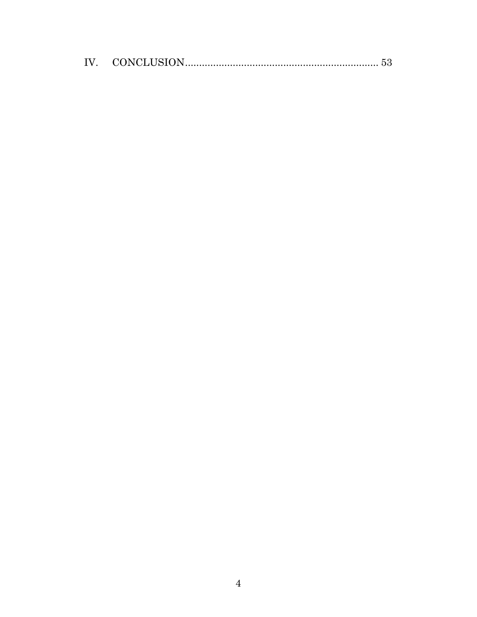| IV |  |
|----|--|
|----|--|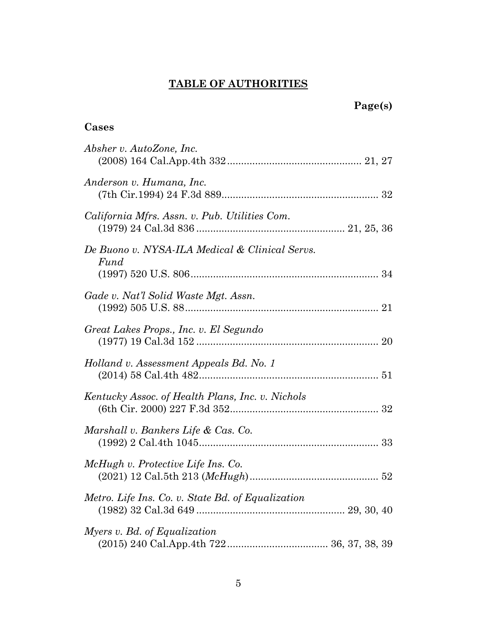# **TABLE OF AUTHORITIES**

# **Cases**

| Absher v. AutoZone, Inc.                               |
|--------------------------------------------------------|
| Anderson v. Humana, Inc.                               |
| California Mfrs. Assn. v. Pub. Utilities Com.          |
| De Buono v. NYSA-ILA Medical & Clinical Servs.<br>Fund |
| Gade v. Nat'l Solid Waste Mgt. Assn.                   |
| Great Lakes Props., Inc. v. El Segundo                 |
| Holland v. Assessment Appeals Bd. No. 1                |
| Kentucky Assoc. of Health Plans, Inc. v. Nichols       |
| Marshall v. Bankers Life & Cas. Co.                    |
| McHugh v. Protective Life Ins. Co.                     |
| Metro. Life Ins. Co. v. State Bd. of Equalization      |
| Myers v. Bd. of Equalization                           |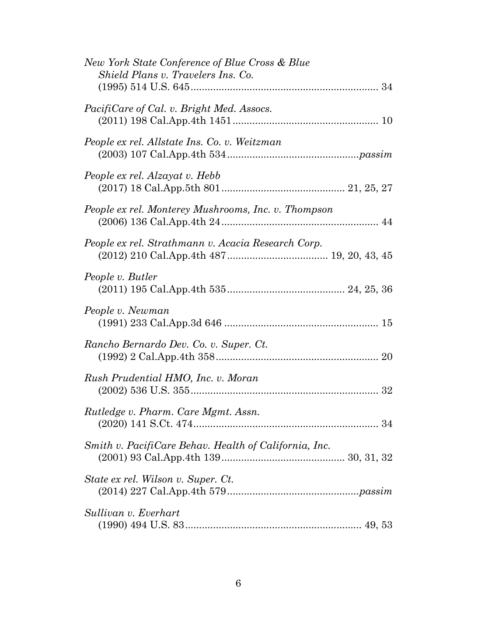| New York State Conference of Blue Cross & Blue<br>Shield Plans v. Travelers Ins. Co. |
|--------------------------------------------------------------------------------------|
| <i>PacifiCare of Cal. v. Bright Med. Assocs.</i>                                     |
| People ex rel. Allstate Ins. Co. v. Weitzman                                         |
| People ex rel. Alzayat v. Hebb                                                       |
| People ex rel. Monterey Mushrooms, Inc. v. Thompson                                  |
| People ex rel. Strathmann v. Acacia Research Corp.                                   |
| People v. Butler                                                                     |
| People v. Newman                                                                     |
| Rancho Bernardo Dev. Co. v. Super. Ct.                                               |
| Rush Prudential HMO, Inc. v. Moran                                                   |
| Rutledge v. Pharm. Care Mgmt. Assn.                                                  |
| Smith v. PacifiCare Behav. Health of California, Inc.                                |
| State ex rel. Wilson v. Super. Ct.                                                   |
| Sullivan v. Everhart                                                                 |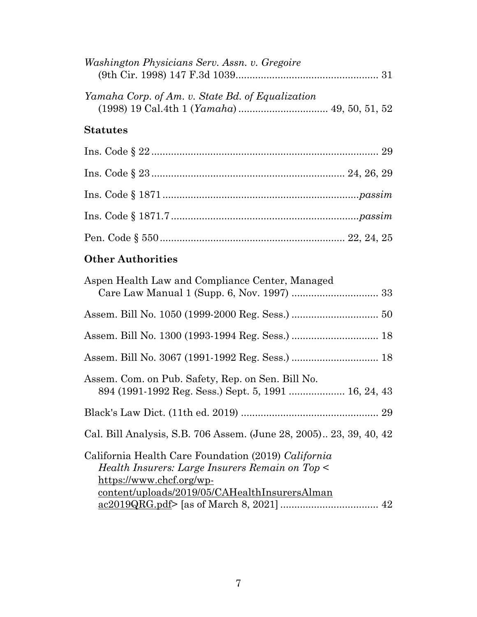| Washington Physicians Serv. Assn. v. Gregoire    |
|--------------------------------------------------|
| Yamaha Corp. of Am. v. State Bd. of Equalization |
| <b>Statutes</b>                                  |
|                                                  |
|                                                  |
|                                                  |
|                                                  |
|                                                  |
| <b>Other Authorities</b>                         |
| Agnon Hoalth Law and Compliance Contor Managod   |

| Aspen Health Law and Compilance Center, Managed                                                                                                                                     |  |
|-------------------------------------------------------------------------------------------------------------------------------------------------------------------------------------|--|
|                                                                                                                                                                                     |  |
|                                                                                                                                                                                     |  |
|                                                                                                                                                                                     |  |
| Assem. Com. on Pub. Safety, Rep. on Sen. Bill No.                                                                                                                                   |  |
|                                                                                                                                                                                     |  |
| Cal. Bill Analysis, S.B. 706 Assem. (June 28, 2005) 23, 39, 40, 42                                                                                                                  |  |
| California Health Care Foundation (2019) California<br>Health Insurers: Large Insurers Remain on Top <<br>https://www.chcf.org/wp-<br>content/uploads/2019/05/CAHealthInsurersAlman |  |
|                                                                                                                                                                                     |  |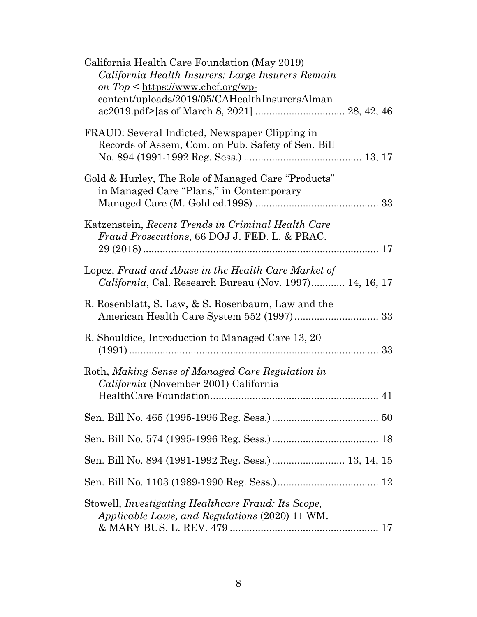| California Health Care Foundation (May 2019)<br>California Health Insurers: Large Insurers Remain<br>on $Top <$ https://www.chcf.org/wp-<br><u>content/uploads/2019/05/CAHealthInsurersAlman</u> |
|--------------------------------------------------------------------------------------------------------------------------------------------------------------------------------------------------|
| FRAUD: Several Indicted, Newspaper Clipping in<br>Records of Assem, Com. on Pub. Safety of Sen. Bill                                                                                             |
| Gold & Hurley, The Role of Managed Care "Products"<br>in Managed Care "Plans," in Contemporary                                                                                                   |
| Katzenstein, Recent Trends in Criminal Health Care<br><i>Fraud Prosecutions, 66 DOJ J. FED. L. &amp; PRAC.</i>                                                                                   |
| Lopez, Fraud and Abuse in the Health Care Market of<br>California, Cal. Research Bureau (Nov. 1997) 14, 16, 17                                                                                   |
| R. Rosenblatt, S. Law, & S. Rosenbaum, Law and the                                                                                                                                               |
| R. Shouldice, Introduction to Managed Care 13, 20                                                                                                                                                |
| Roth, Making Sense of Managed Care Regulation in<br>California (November 2001) California                                                                                                        |
|                                                                                                                                                                                                  |
|                                                                                                                                                                                                  |
| Sen. Bill No. 894 (1991-1992 Reg. Sess.) 13, 14, 15                                                                                                                                              |
|                                                                                                                                                                                                  |
| Stowell, <i>Investigating Healthcare Fraud: Its Scope</i> ,<br>Applicable Laws, and Regulations (2020) 11 WM.                                                                                    |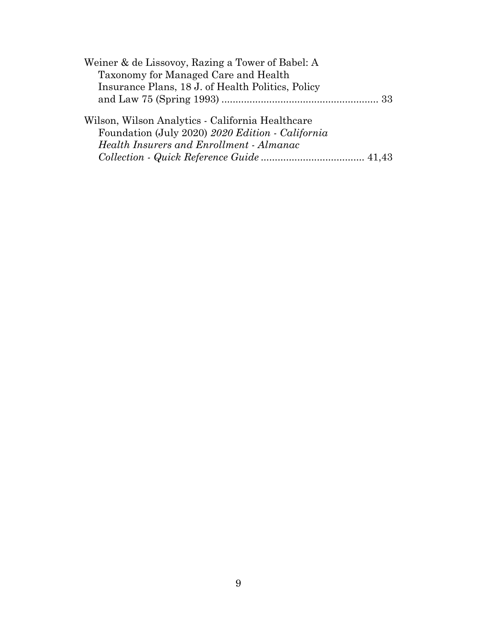| Weiner & de Lissovoy, Razing a Tower of Babel: A  |  |
|---------------------------------------------------|--|
| Taxonomy for Managed Care and Health              |  |
| Insurance Plans, 18 J. of Health Politics, Policy |  |
|                                                   |  |
| Wilson, Wilson Analytics - California Healthcare  |  |
| Foundation (July 2020) 2020 Edition - California  |  |
| <b>Health Insurers and Enrollment - Almanac</b>   |  |
|                                                   |  |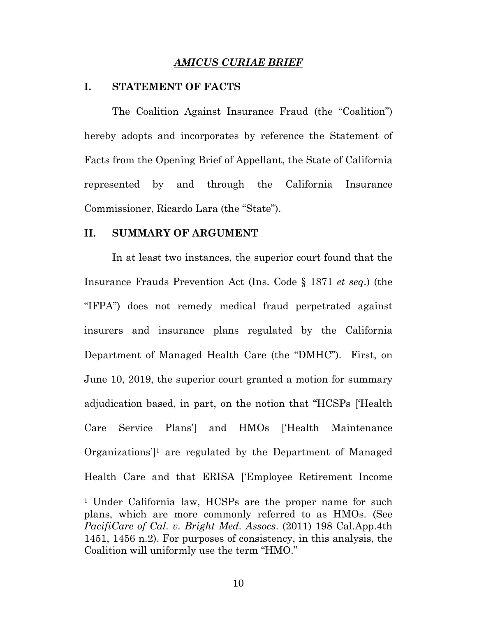#### *AMICUS CURIAE BRIEF*

#### **I. STATEMENT OF FACTS**

 The Coalition Against Insurance Fraud (the "Coalition") hereby adopts and incorporates by reference the Statement of Facts from the Opening Brief of Appellant, the State of California represented by and through the California Insurance Commissioner, Ricardo Lara (the "State").

#### **II. SUMMARY OF ARGUMENT**

 In at least two instances, the superior court found that the Insurance Frauds Prevention Act (Ins. Code § 1871 *et seq*.) (the "IFPA") does not remedy medical fraud perpetrated against insurers and insurance plans regulated by the California Department of Managed Health Care (the "DMHC"). First, on June 10, 2019, the superior court granted a motion for summary adjudication based, in part, on the notion that "HCSPs ['Health Care Service Plans'] and HMOs ['Health Maintenance Organizations']1 are regulated by the Department of Managed Health Care and that ERISA ['Employee Retirement Income

<sup>1</sup> Under California law, HCSPs are the proper name for such plans, which are more commonly referred to as HMOs. (See *PacifiCare of Cal. v. Bright Med. Assocs*. (2011) 198 Cal.App.4th 1451, 1456 n.2). For purposes of consistency, in this analysis, the Coalition will uniformly use the term "HMO."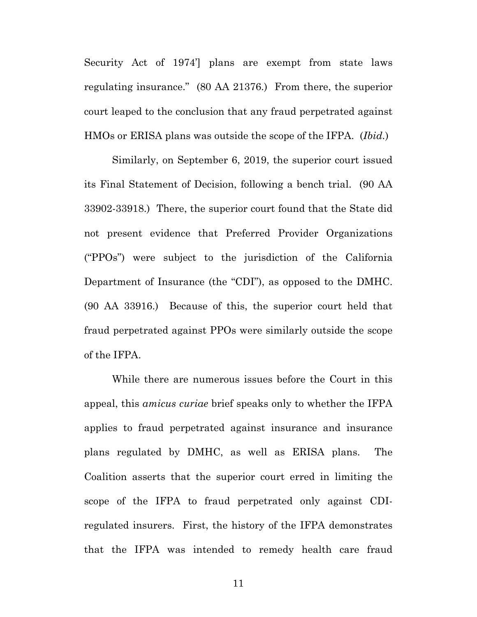Security Act of 1974'] plans are exempt from state laws regulating insurance." (80 AA 21376.) From there, the superior court leaped to the conclusion that any fraud perpetrated against HMOs or ERISA plans was outside the scope of the IFPA. (*Ibid.*)

 Similarly, on September 6, 2019, the superior court issued its Final Statement of Decision, following a bench trial. (90 AA 33902-33918.) There, the superior court found that the State did not present evidence that Preferred Provider Organizations ("PPOs") were subject to the jurisdiction of the California Department of Insurance (the "CDI"), as opposed to the DMHC. (90 AA 33916.) Because of this, the superior court held that fraud perpetrated against PPOs were similarly outside the scope of the IFPA.

 While there are numerous issues before the Court in this appeal, this *amicus curiae* brief speaks only to whether the IFPA applies to fraud perpetrated against insurance and insurance plans regulated by DMHC, as well as ERISA plans. The Coalition asserts that the superior court erred in limiting the scope of the IFPA to fraud perpetrated only against CDIregulated insurers. First, the history of the IFPA demonstrates that the IFPA was intended to remedy health care fraud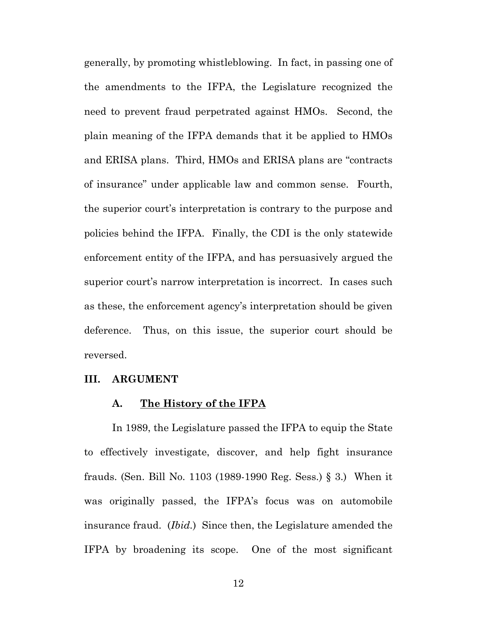generally, by promoting whistleblowing. In fact, in passing one of the amendments to the IFPA, the Legislature recognized the need to prevent fraud perpetrated against HMOs. Second, the plain meaning of the IFPA demands that it be applied to HMOs and ERISA plans. Third, HMOs and ERISA plans are "contracts of insurance" under applicable law and common sense. Fourth, the superior court's interpretation is contrary to the purpose and policies behind the IFPA. Finally, the CDI is the only statewide enforcement entity of the IFPA, and has persuasively argued the superior court's narrow interpretation is incorrect. In cases such as these, the enforcement agency's interpretation should be given deference. Thus, on this issue, the superior court should be reversed.

#### **III. ARGUMENT**

#### **A. The History of the IFPA**

 In 1989, the Legislature passed the IFPA to equip the State to effectively investigate, discover, and help fight insurance frauds. (Sen. Bill No. 1103 (1989-1990 Reg. Sess.) § 3.) When it was originally passed, the IFPA's focus was on automobile insurance fraud. (*Ibid.*) Since then, the Legislature amended the IFPA by broadening its scope. One of the most significant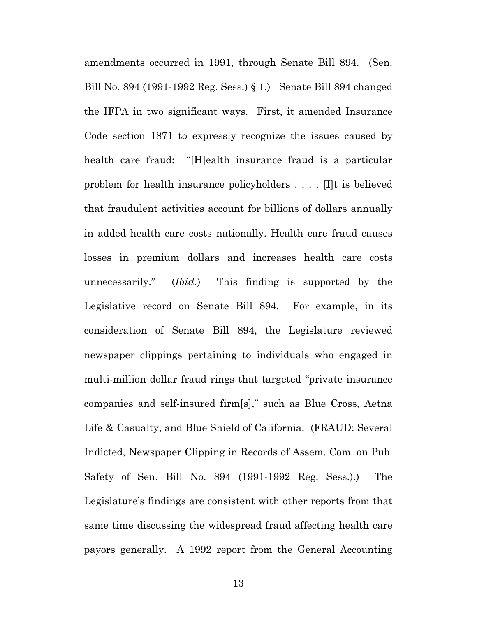amendments occurred in 1991, through Senate Bill 894. (Sen. Bill No. 894 (1991-1992 Reg. Sess.) § 1.) Senate Bill 894 changed the IFPA in two significant ways. First, it amended Insurance Code section 1871 to expressly recognize the issues caused by health care fraud: "[H]ealth insurance fraud is a particular problem for health insurance policyholders . . . . [I]t is believed that fraudulent activities account for billions of dollars annually in added health care costs nationally. Health care fraud causes losses in premium dollars and increases health care costs unnecessarily." (*Ibid.*) This finding is supported by the Legislative record on Senate Bill 894. For example, in its consideration of Senate Bill 894, the Legislature reviewed newspaper clippings pertaining to individuals who engaged in multi-million dollar fraud rings that targeted "private insurance companies and self-insured firm[s]," such as Blue Cross, Aetna Life & Casualty, and Blue Shield of California. (FRAUD: Several Indicted, Newspaper Clipping in Records of Assem. Com. on Pub. Safety of Sen. Bill No. 894 (1991-1992 Reg. Sess.).) The Legislature's findings are consistent with other reports from that same time discussing the widespread fraud affecting health care payors generally. A 1992 report from the General Accounting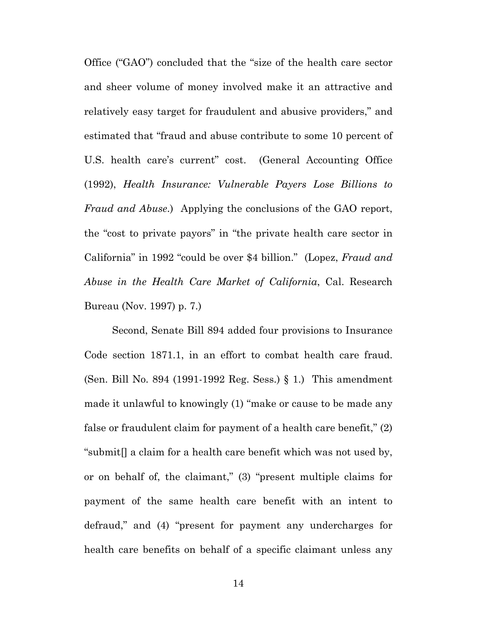Office ("GAO") concluded that the "size of the health care sector and sheer volume of money involved make it an attractive and relatively easy target for fraudulent and abusive providers," and estimated that "fraud and abuse contribute to some 10 percent of U.S. health care's current" cost. (General Accounting Office (1992), *Health Insurance: Vulnerable Payers Lose Billions to Fraud and Abuse*.) Applying the conclusions of the GAO report, the "cost to private payors" in "the private health care sector in California" in 1992 "could be over \$4 billion." (Lopez, *Fraud and Abuse in the Health Care Market of California*, Cal. Research Bureau (Nov. 1997) p. 7.)

 Second, Senate Bill 894 added four provisions to Insurance Code section 1871.1, in an effort to combat health care fraud. (Sen. Bill No. 894 (1991-1992 Reg. Sess.) § 1.) This amendment made it unlawful to knowingly (1) "make or cause to be made any false or fraudulent claim for payment of a health care benefit," (2) "submit[] a claim for a health care benefit which was not used by, or on behalf of, the claimant," (3) "present multiple claims for payment of the same health care benefit with an intent to defraud," and (4) "present for payment any undercharges for health care benefits on behalf of a specific claimant unless any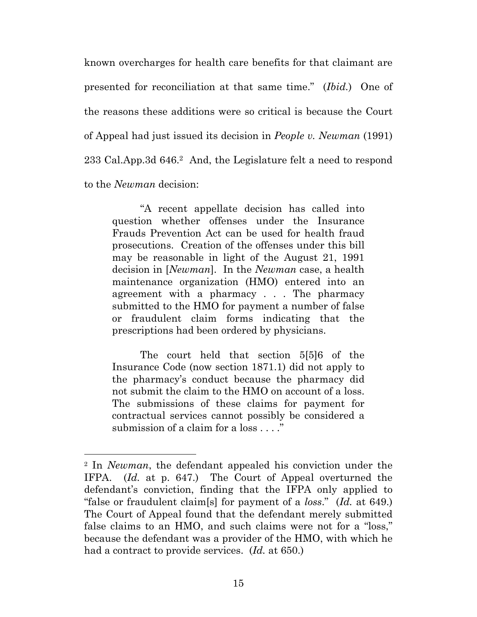known overcharges for health care benefits for that claimant are presented for reconciliation at that same time." (*Ibid.*) One of the reasons these additions were so critical is because the Court of Appeal had just issued its decision in *People v. Newman* (1991) 233 Cal.App.3d 646.<sup>2</sup> And, the Legislature felt a need to respond to the *Newman* decision:

 "A recent appellate decision has called into question whether offenses under the Insurance Frauds Prevention Act can be used for health fraud prosecutions. Creation of the offenses under this bill may be reasonable in light of the August 21, 1991 decision in [*Newman*]. In the *Newman* case, a health maintenance organization (HMO) entered into an agreement with a pharmacy . . . The pharmacy submitted to the HMO for payment a number of false or fraudulent claim forms indicating that the prescriptions had been ordered by physicians.

 The court held that section 5[5]6 of the Insurance Code (now section 1871.1) did not apply to the pharmacy's conduct because the pharmacy did not submit the claim to the HMO on account of a loss. The submissions of these claims for payment for contractual services cannot possibly be considered a submission of a claim for a loss . . . ."

<sup>2</sup> In *Newman*, the defendant appealed his conviction under the IFPA. (*Id.* at p. 647.) The Court of Appeal overturned the defendant's conviction, finding that the IFPA only applied to "false or fraudulent claim[s] for payment of a *loss*." (*Id.* at 649.) The Court of Appeal found that the defendant merely submitted false claims to an HMO, and such claims were not for a "loss," because the defendant was a provider of the HMO, with which he had a contract to provide services. (*Id.* at 650.)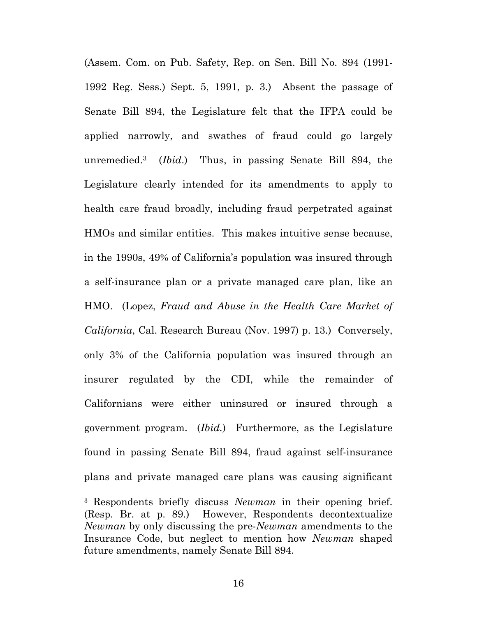(Assem. Com. on Pub. Safety, Rep. on Sen. Bill No. 894 (1991- 1992 Reg. Sess.) Sept. 5, 1991, p. 3.) Absent the passage of Senate Bill 894, the Legislature felt that the IFPA could be applied narrowly, and swathes of fraud could go largely unremedied.3 (*Ibid*.) Thus, in passing Senate Bill 894, the Legislature clearly intended for its amendments to apply to health care fraud broadly, including fraud perpetrated against HMOs and similar entities. This makes intuitive sense because, in the 1990s, 49% of California's population was insured through a self-insurance plan or a private managed care plan, like an HMO. (Lopez, *Fraud and Abuse in the Health Care Market of California*, Cal. Research Bureau (Nov. 1997) p. 13.) Conversely, only 3% of the California population was insured through an insurer regulated by the CDI, while the remainder of Californians were either uninsured or insured through a government program. (*Ibid.*) Furthermore, as the Legislature found in passing Senate Bill 894, fraud against self-insurance plans and private managed care plans was causing significant

 $\overline{a}$ 

<sup>3</sup> Respondents briefly discuss *Newman* in their opening brief. (Resp. Br. at p. 89.) However, Respondents decontextualize *Newman* by only discussing the pre-*Newman* amendments to the Insurance Code, but neglect to mention how *Newman* shaped future amendments, namely Senate Bill 894.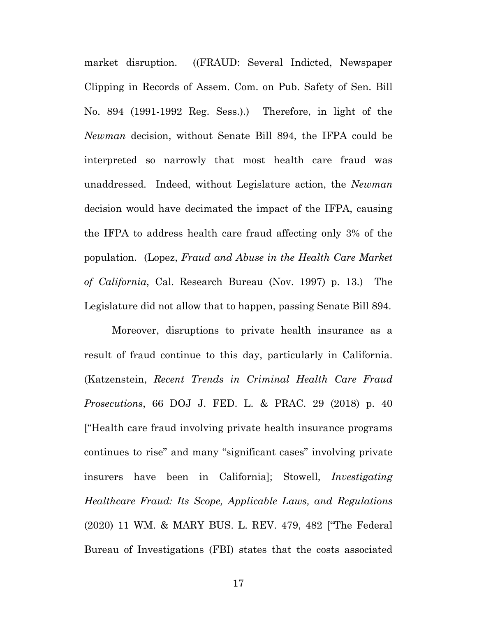market disruption. ((FRAUD: Several Indicted, Newspaper Clipping in Records of Assem. Com. on Pub. Safety of Sen. Bill No. 894 (1991-1992 Reg. Sess.).) Therefore, in light of the *Newman* decision, without Senate Bill 894, the IFPA could be interpreted so narrowly that most health care fraud was unaddressed. Indeed, without Legislature action, the *Newman*  decision would have decimated the impact of the IFPA, causing the IFPA to address health care fraud affecting only 3% of the population. (Lopez, *Fraud and Abuse in the Health Care Market of California*, Cal. Research Bureau (Nov. 1997) p. 13.) The Legislature did not allow that to happen, passing Senate Bill 894.

Moreover, disruptions to private health insurance as a result of fraud continue to this day, particularly in California. (Katzenstein, *Recent Trends in Criminal Health Care Fraud Prosecutions*, 66 DOJ J. FED. L. & PRAC. 29 (2018) p. 40 ["Health care fraud involving private health insurance programs continues to rise" and many "significant cases" involving private insurers have been in California]; Stowell, *Investigating Healthcare Fraud: Its Scope, Applicable Laws, and Regulations* (2020) 11 WM. & MARY BUS. L. REV. 479, 482 ["The Federal Bureau of Investigations (FBI) states that the costs associated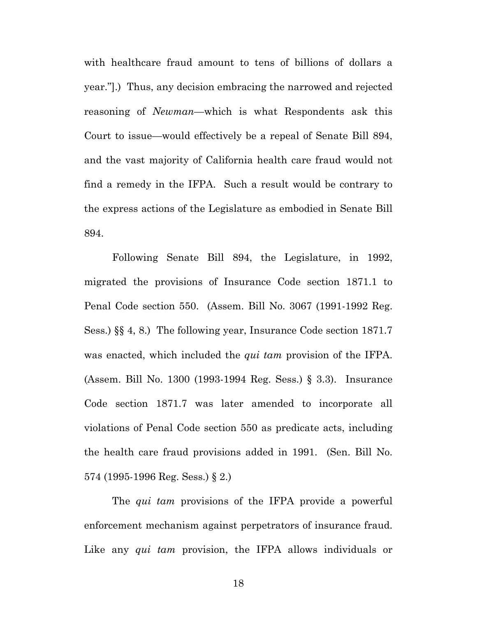with healthcare fraud amount to tens of billions of dollars a year."].) Thus, any decision embracing the narrowed and rejected reasoning of *Newman*—which is what Respondents ask this Court to issue—would effectively be a repeal of Senate Bill 894, and the vast majority of California health care fraud would not find a remedy in the IFPA. Such a result would be contrary to the express actions of the Legislature as embodied in Senate Bill 894.

 Following Senate Bill 894, the Legislature, in 1992, migrated the provisions of Insurance Code section 1871.1 to Penal Code section 550. (Assem. Bill No. 3067 (1991-1992 Reg. Sess.) §§ 4, 8.) The following year, Insurance Code section 1871.7 was enacted, which included the *qui tam* provision of the IFPA. (Assem. Bill No. 1300 (1993-1994 Reg. Sess.) § 3.3). Insurance Code section 1871.7 was later amended to incorporate all violations of Penal Code section 550 as predicate acts, including the health care fraud provisions added in 1991. (Sen. Bill No. 574 (1995-1996 Reg. Sess.) § 2.)

 The *qui tam* provisions of the IFPA provide a powerful enforcement mechanism against perpetrators of insurance fraud. Like any *qui tam* provision, the IFPA allows individuals or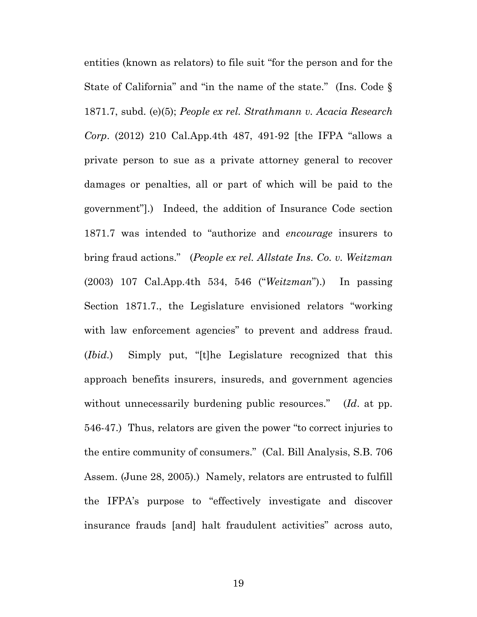entities (known as relators) to file suit "for the person and for the State of California" and "in the name of the state." (Ins. Code § 1871.7, subd. (e)(5); *People ex rel. Strathmann v. Acacia Research Corp*. (2012) 210 Cal.App.4th 487, 491-92 [the IFPA "allows a private person to sue as a private attorney general to recover damages or penalties, all or part of which will be paid to the government"].) Indeed, the addition of Insurance Code section 1871.7 was intended to "authorize and *encourage* insurers to bring fraud actions." (*People ex rel. Allstate Ins. Co. v. Weitzman* (2003) 107 Cal.App.4th 534, 546 ("*Weitzman*").) In passing Section 1871.7., the Legislature envisioned relators "working with law enforcement agencies" to prevent and address fraud. (*Ibid.*) Simply put, "[t]he Legislature recognized that this approach benefits insurers, insureds, and government agencies without unnecessarily burdening public resources." (*Id*. at pp. 546-47.) Thus, relators are given the power "to correct injuries to the entire community of consumers." (Cal. Bill Analysis, S.B. 706 Assem. (June 28, 2005).) Namely, relators are entrusted to fulfill the IFPA's purpose to "effectively investigate and discover insurance frauds [and] halt fraudulent activities" across auto,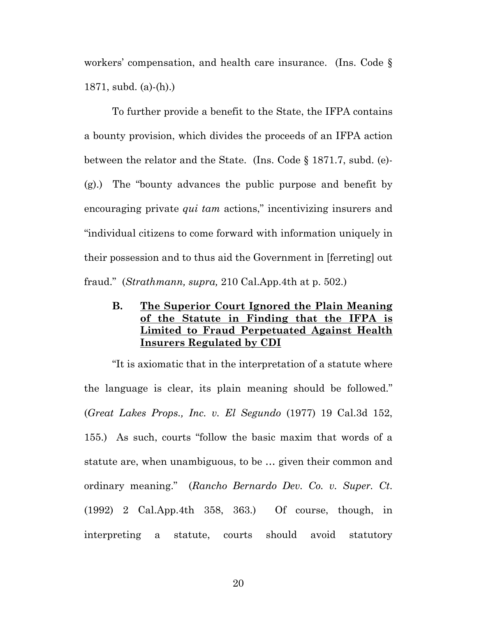workers' compensation, and health care insurance. (Ins. Code § 1871, subd. (a)-(h).)

 To further provide a benefit to the State, the IFPA contains a bounty provision, which divides the proceeds of an IFPA action between the relator and the State. (Ins. Code § 1871.7, subd. (e)- (g).) The "bounty advances the public purpose and benefit by encouraging private *qui tam* actions," incentivizing insurers and "individual citizens to come forward with information uniquely in their possession and to thus aid the Government in [ferreting] out fraud." (*Strathmann, supra,* 210 Cal.App.4th at p. 502.)

**B. The Superior Court Ignored the Plain Meaning of the Statute in Finding that the IFPA is Limited to Fraud Perpetuated Against Health Insurers Regulated by CDI** 

 "It is axiomatic that in the interpretation of a statute where the language is clear, its plain meaning should be followed." (*Great Lakes Props., Inc. v. El Segundo* (1977) 19 Cal.3d 152, 155.) As such, courts "follow the basic maxim that words of a statute are, when unambiguous, to be … given their common and ordinary meaning." (*Rancho Bernardo Dev. Co. v. Super. Ct*. (1992) 2 Cal.App.4th 358, 363.) Of course, though, in interpreting a statute, courts should avoid statutory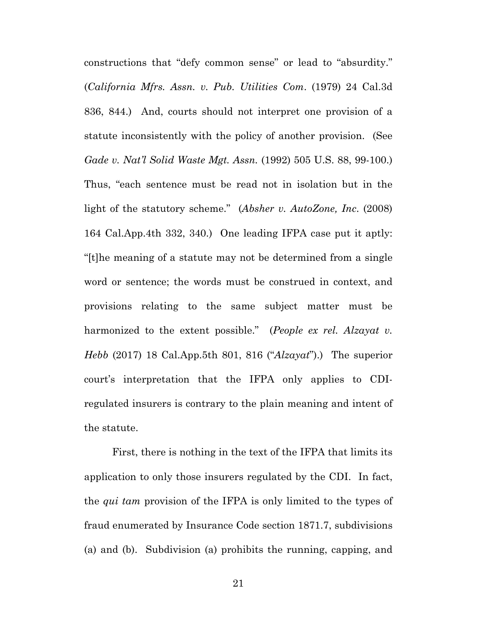constructions that "defy common sense" or lead to "absurdity." (*California Mfrs. Assn. v. Pub. Utilities Com*. (1979) 24 Cal.3d 836, 844.) And, courts should not interpret one provision of a statute inconsistently with the policy of another provision. (See *Gade v. Nat'l Solid Waste Mgt. Assn.* (1992) 505 U.S. 88, 99-100.) Thus, "each sentence must be read not in isolation but in the light of the statutory scheme." (*Absher v. AutoZone, Inc*. (2008) 164 Cal.App.4th 332, 340.) One leading IFPA case put it aptly: "[t]he meaning of a statute may not be determined from a single word or sentence; the words must be construed in context, and provisions relating to the same subject matter must be harmonized to the extent possible." (*People ex rel. Alzayat v. Hebb* (2017) 18 Cal.App.5th 801, 816 ("*Alzayat*").) The superior court's interpretation that the IFPA only applies to CDIregulated insurers is contrary to the plain meaning and intent of the statute.

 First, there is nothing in the text of the IFPA that limits its application to only those insurers regulated by the CDI. In fact, the *qui tam* provision of the IFPA is only limited to the types of fraud enumerated by Insurance Code section 1871.7, subdivisions (a) and (b). Subdivision (a) prohibits the running, capping, and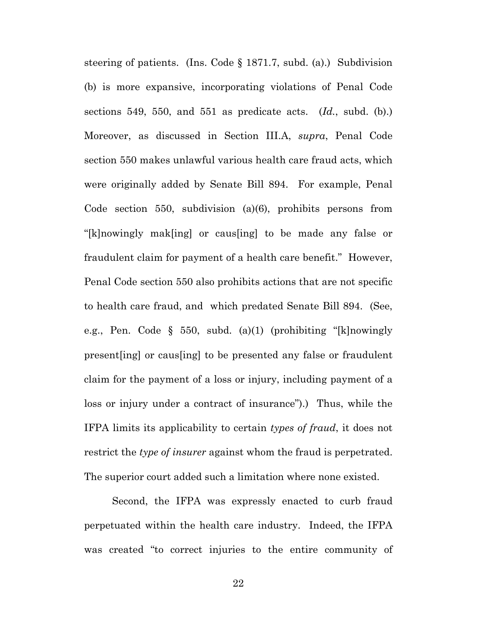steering of patients. (Ins. Code § 1871.7, subd. (a).) Subdivision (b) is more expansive, incorporating violations of Penal Code sections 549, 550, and 551 as predicate acts. (*Id.*, subd. (b).) Moreover, as discussed in Section III.A, *supra*, Penal Code section 550 makes unlawful various health care fraud acts, which were originally added by Senate Bill 894. For example, Penal Code section 550, subdivision (a)(6), prohibits persons from "[k]nowingly mak[ing] or caus[ing] to be made any false or fraudulent claim for payment of a health care benefit." However, Penal Code section 550 also prohibits actions that are not specific to health care fraud, and which predated Senate Bill 894. (See, e.g., Pen. Code § 550, subd. (a)(1) (prohibiting "[k]nowingly present[ing] or caus[ing] to be presented any false or fraudulent claim for the payment of a loss or injury, including payment of a loss or injury under a contract of insurance").) Thus, while the IFPA limits its applicability to certain *types of fraud*, it does not restrict the *type of insurer* against whom the fraud is perpetrated. The superior court added such a limitation where none existed.

 Second, the IFPA was expressly enacted to curb fraud perpetuated within the health care industry. Indeed, the IFPA was created "to correct injuries to the entire community of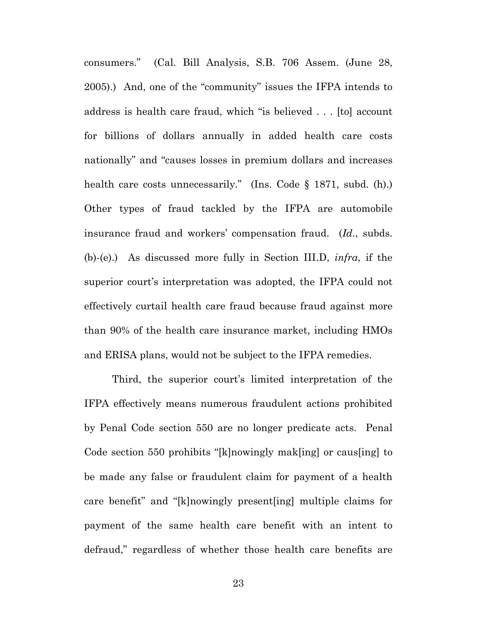consumers." (Cal. Bill Analysis, S.B. 706 Assem. (June 28, 2005).) And, one of the "community" issues the IFPA intends to address is health care fraud, which "is believed . . . [to] account for billions of dollars annually in added health care costs nationally" and "causes losses in premium dollars and increases health care costs unnecessarily." (Ins. Code § 1871, subd. (h).) Other types of fraud tackled by the IFPA are automobile insurance fraud and workers' compensation fraud. (*Id.*, subds. (b)-(e).) As discussed more fully in Section III.D, *infra*, if the superior court's interpretation was adopted, the IFPA could not effectively curtail health care fraud because fraud against more than 90% of the health care insurance market, including HMOs and ERISA plans, would not be subject to the IFPA remedies.

 Third, the superior court's limited interpretation of the IFPA effectively means numerous fraudulent actions prohibited by Penal Code section 550 are no longer predicate acts. Penal Code section 550 prohibits "[k]nowingly mak[ing] or caus[ing] to be made any false or fraudulent claim for payment of a health care benefit" and "[k]nowingly present[ing] multiple claims for payment of the same health care benefit with an intent to defraud," regardless of whether those health care benefits are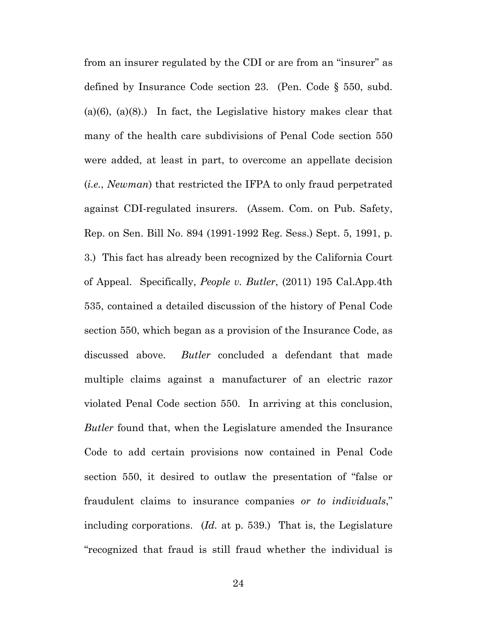from an insurer regulated by the CDI or are from an "insurer" as defined by Insurance Code section 23. (Pen. Code § 550, subd.  $(a)(6)$ ,  $(a)(8)$ .) In fact, the Legislative history makes clear that many of the health care subdivisions of Penal Code section 550 were added, at least in part, to overcome an appellate decision (*i.e.*, *Newman*) that restricted the IFPA to only fraud perpetrated against CDI-regulated insurers. (Assem. Com. on Pub. Safety, Rep. on Sen. Bill No. 894 (1991-1992 Reg. Sess.) Sept. 5, 1991, p. 3.) This fact has already been recognized by the California Court of Appeal. Specifically, *People v. Butler*, (2011) 195 Cal.App.4th 535, contained a detailed discussion of the history of Penal Code section 550, which began as a provision of the Insurance Code, as discussed above. *Butler* concluded a defendant that made multiple claims against a manufacturer of an electric razor violated Penal Code section 550. In arriving at this conclusion, *Butler* found that, when the Legislature amended the Insurance Code to add certain provisions now contained in Penal Code section 550, it desired to outlaw the presentation of "false or fraudulent claims to insurance companies *or to individuals*," including corporations. (*Id.* at p. 539.) That is, the Legislature "recognized that fraud is still fraud whether the individual is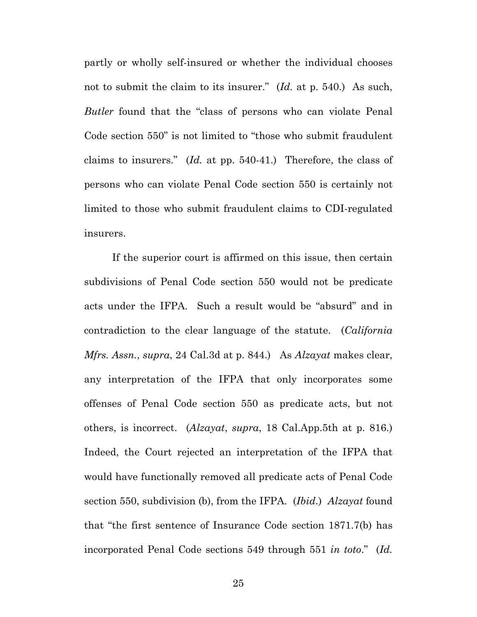partly or wholly self-insured or whether the individual chooses not to submit the claim to its insurer." (*Id.* at p. 540.) As such, *Butler* found that the "class of persons who can violate Penal Code section 550" is not limited to "those who submit fraudulent claims to insurers." (*Id.* at pp. 540-41.) Therefore, the class of persons who can violate Penal Code section 550 is certainly not limited to those who submit fraudulent claims to CDI-regulated insurers.

 If the superior court is affirmed on this issue, then certain subdivisions of Penal Code section 550 would not be predicate acts under the IFPA. Such a result would be "absurd" and in contradiction to the clear language of the statute. (*California Mfrs. Assn.*, *supra*, 24 Cal.3d at p. 844.) As *Alzayat* makes clear, any interpretation of the IFPA that only incorporates some offenses of Penal Code section 550 as predicate acts, but not others, is incorrect. (*Alzayat*, *supra*, 18 Cal.App.5th at p. 816.) Indeed, the Court rejected an interpretation of the IFPA that would have functionally removed all predicate acts of Penal Code section 550, subdivision (b), from the IFPA. (*Ibid.*) *Alzayat* found that "the first sentence of Insurance Code section 1871.7(b) has incorporated Penal Code sections 549 through 551 *in toto*." (*Id.*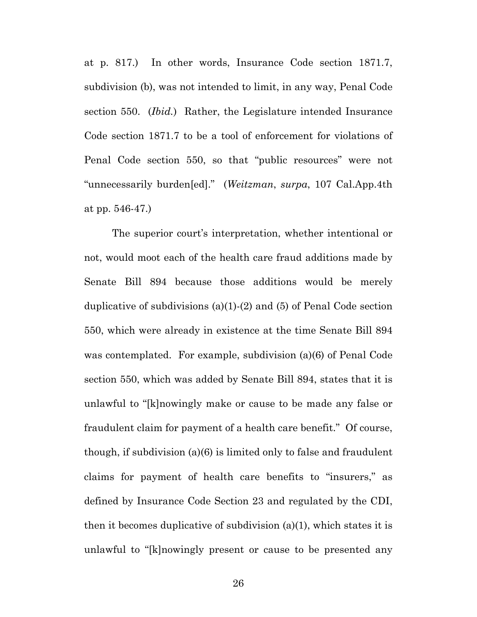at p. 817.) In other words, Insurance Code section 1871.7, subdivision (b), was not intended to limit, in any way, Penal Code section 550. (*Ibid.*) Rather, the Legislature intended Insurance Code section 1871.7 to be a tool of enforcement for violations of Penal Code section 550, so that "public resources" were not "unnecessarily burden[ed]." (*Weitzman*, *surpa*, 107 Cal.App.4th at pp. 546-47.)

 The superior court's interpretation, whether intentional or not, would moot each of the health care fraud additions made by Senate Bill 894 because those additions would be merely duplicative of subdivisions (a)(1)-(2) and (5) of Penal Code section 550, which were already in existence at the time Senate Bill 894 was contemplated. For example, subdivision (a)(6) of Penal Code section 550, which was added by Senate Bill 894, states that it is unlawful to "[k]nowingly make or cause to be made any false or fraudulent claim for payment of a health care benefit." Of course, though, if subdivision (a)(6) is limited only to false and fraudulent claims for payment of health care benefits to "insurers," as defined by Insurance Code Section 23 and regulated by the CDI, then it becomes duplicative of subdivision (a)(1), which states it is unlawful to "[k]nowingly present or cause to be presented any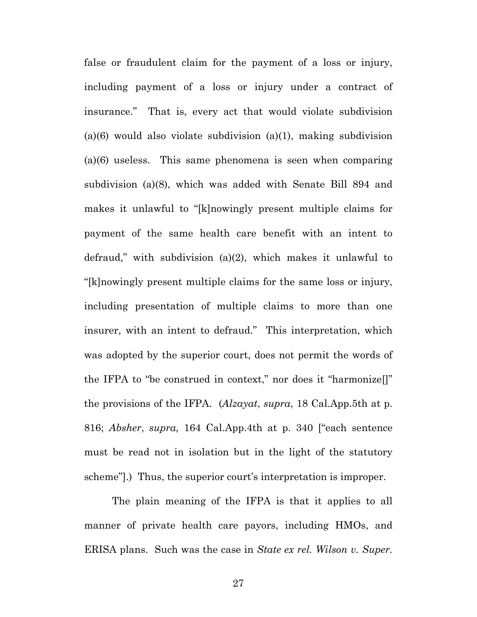false or fraudulent claim for the payment of a loss or injury, including payment of a loss or injury under a contract of insurance." That is, every act that would violate subdivision  $(a)(6)$  would also violate subdivision  $(a)(1)$ , making subdivision (a)(6) useless. This same phenomena is seen when comparing subdivision (a)(8), which was added with Senate Bill 894 and makes it unlawful to "[k]nowingly present multiple claims for payment of the same health care benefit with an intent to defraud," with subdivision (a)(2), which makes it unlawful to "[k]nowingly present multiple claims for the same loss or injury, including presentation of multiple claims to more than one insurer, with an intent to defraud." This interpretation, which was adopted by the superior court, does not permit the words of the IFPA to "be construed in context," nor does it "harmonize[]" the provisions of the IFPA. (*Alzayat*, *supra*, 18 Cal.App.5th at p. 816; *Absher*, *supra,* 164 Cal.App.4th at p. 340 ["each sentence must be read not in isolation but in the light of the statutory scheme"].) Thus, the superior court's interpretation is improper.

 The plain meaning of the IFPA is that it applies to all manner of private health care payors, including HMOs, and ERISA plans. Such was the case in *State ex rel. Wilson v. Super.*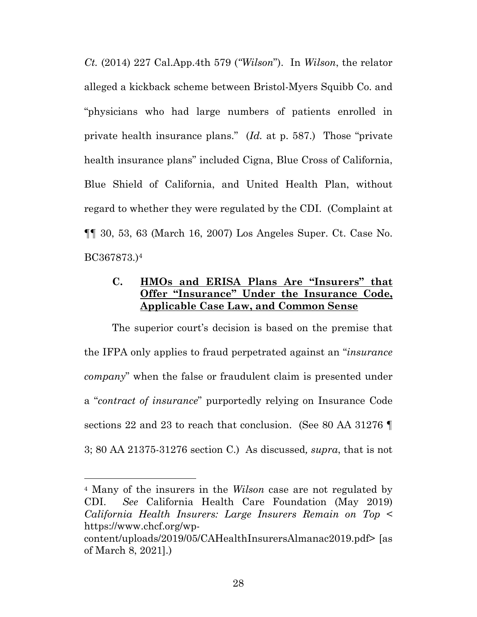*Ct.* (2014) 227 Cal.App.4th 579 (*"Wilson*"). In *Wilson*, the relator alleged a kickback scheme between Bristol-Myers Squibb Co. and "physicians who had large numbers of patients enrolled in private health insurance plans." (*Id.* at p. 587.) Those "private health insurance plans" included Cigna, Blue Cross of California, Blue Shield of California, and United Health Plan, without regard to whether they were regulated by the CDI. (Complaint at ¶¶ 30, 53, 63 (March 16, 2007) Los Angeles Super. Ct. Case No. BC367873.)4

## **C. HMOs and ERISA Plans Are "Insurers" that Offer "Insurance" Under the Insurance Code, Applicable Case Law, and Common Sense**

 The superior court's decision is based on the premise that the IFPA only applies to fraud perpetrated against an "*insurance company*" when the false or fraudulent claim is presented under a "*contract of insurance*" purportedly relying on Insurance Code sections 22 and 23 to reach that conclusion. (See 80 AA 31276  $\P$ 3; 80 AA 21375-31276 section C.) As discussed*, supra*, that is not

<sup>4</sup> Many of the insurers in the *Wilson* case are not regulated by CDI. *See* California Health Care Foundation (May 2019) *California Health Insurers: Large Insurers Remain on Top* < https://www.chcf.org/wp-

content/uploads/2019/05/CAHealthInsurersAlmanac2019.pdf> [as of March 8, 2021].)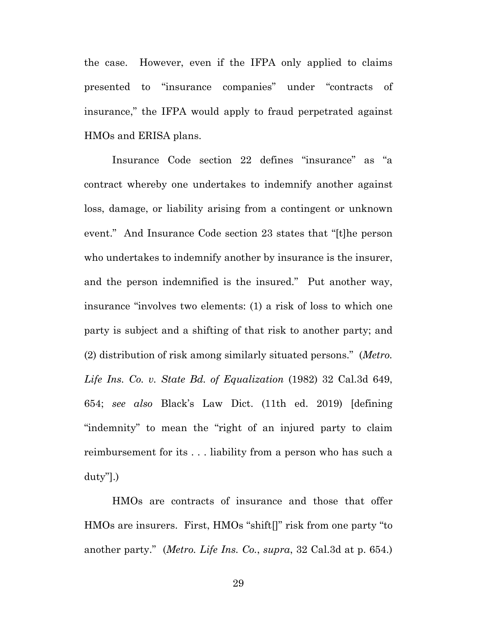the case. However, even if the IFPA only applied to claims presented to "insurance companies" under "contracts of insurance," the IFPA would apply to fraud perpetrated against HMOs and ERISA plans.

 Insurance Code section 22 defines "insurance" as "a contract whereby one undertakes to indemnify another against loss, damage, or liability arising from a contingent or unknown event." And Insurance Code section 23 states that "[t]he person who undertakes to indemnify another by insurance is the insurer, and the person indemnified is the insured." Put another way, insurance "involves two elements: (1) a risk of loss to which one party is subject and a shifting of that risk to another party; and (2) distribution of risk among similarly situated persons." (*Metro. Life Ins. Co. v. State Bd. of Equalization* (1982) 32 Cal.3d 649, 654; *see also* Black's Law Dict. (11th ed. 2019) [defining "indemnity" to mean the "right of an injured party to claim reimbursement for its . . . liability from a person who has such a duty"].)

 HMOs are contracts of insurance and those that offer HMOs are insurers. First, HMOs "shift[]" risk from one party "to another party." (*Metro. Life Ins. Co.*, *supra*, 32 Cal.3d at p. 654.)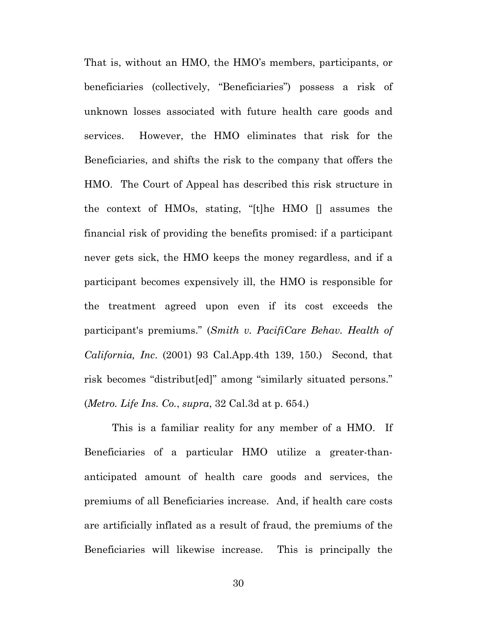That is, without an HMO, the HMO's members, participants, or beneficiaries (collectively, "Beneficiaries") possess a risk of unknown losses associated with future health care goods and services. However, the HMO eliminates that risk for the Beneficiaries, and shifts the risk to the company that offers the HMO. The Court of Appeal has described this risk structure in the context of HMOs, stating, "[t]he HMO [] assumes the financial risk of providing the benefits promised: if a participant never gets sick, the HMO keeps the money regardless, and if a participant becomes expensively ill, the HMO is responsible for the treatment agreed upon even if its cost exceeds the participant's premiums." (*Smith v. PacifiCare Behav. Health of California, Inc*. (2001) 93 Cal.App.4th 139, 150.) Second, that risk becomes "distribut[ed]" among "similarly situated persons." (*Metro. Life Ins. Co.*, *supra*, 32 Cal.3d at p. 654.)

 This is a familiar reality for any member of a HMO. If Beneficiaries of a particular HMO utilize a greater-thananticipated amount of health care goods and services, the premiums of all Beneficiaries increase. And, if health care costs are artificially inflated as a result of fraud, the premiums of the Beneficiaries will likewise increase. This is principally the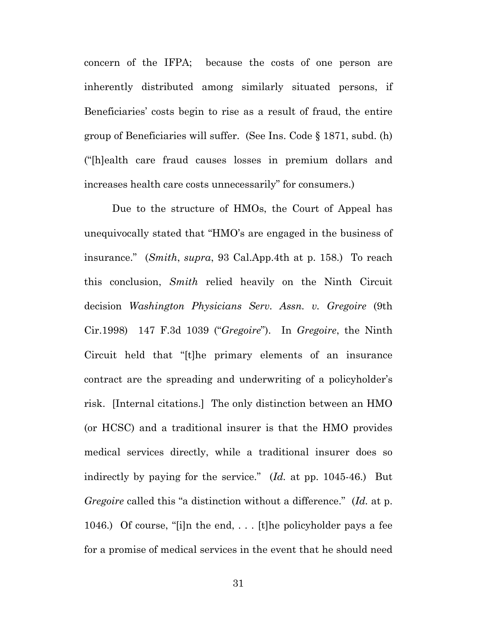concern of the IFPA; because the costs of one person are inherently distributed among similarly situated persons, if Beneficiaries' costs begin to rise as a result of fraud, the entire group of Beneficiaries will suffer. (See Ins. Code § 1871, subd. (h) ("[h]ealth care fraud causes losses in premium dollars and increases health care costs unnecessarily" for consumers.)

 Due to the structure of HMOs, the Court of Appeal has unequivocally stated that "HMO's are engaged in the business of insurance." (*Smith*, *supra*, 93 Cal.App.4th at p. 158.) To reach this conclusion, *Smith* relied heavily on the Ninth Circuit decision *Washington Physicians Serv. Assn. v. Gregoire* (9th Cir.1998) 147 F.3d 1039 ("*Gregoire*"). In *Gregoire*, the Ninth Circuit held that "[t]he primary elements of an insurance contract are the spreading and underwriting of a policyholder's risk. [Internal citations.] The only distinction between an HMO (or HCSC) and a traditional insurer is that the HMO provides medical services directly, while a traditional insurer does so indirectly by paying for the service." (*Id.* at pp. 1045-46.) But *Gregoire* called this "a distinction without a difference." (*Id.* at p. 1046.) Of course, "[i]n the end, . . . [t]he policyholder pays a fee for a promise of medical services in the event that he should need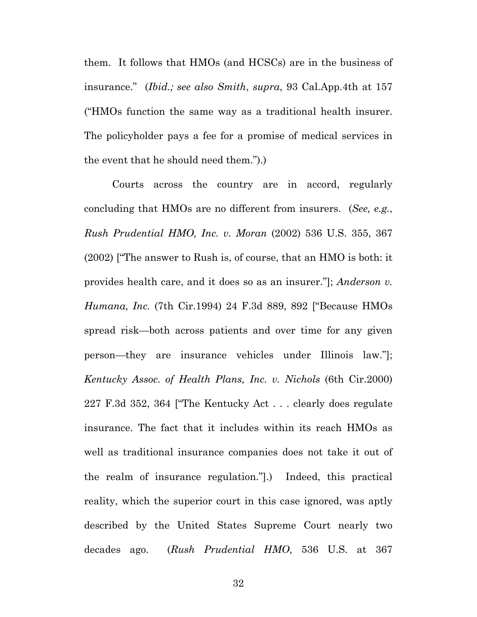them. It follows that HMOs (and HCSCs) are in the business of insurance." (*Ibid.; see also Smith*, *supra*, 93 Cal.App.4th at 157 ("HMOs function the same way as a traditional health insurer. The policyholder pays a fee for a promise of medical services in the event that he should need them.").)

Courts across the country are in accord, regularly concluding that HMOs are no different from insurers. (*See, e.g.*, *Rush Prudential HMO, Inc. v. Moran* (2002) 536 U.S. 355, 367 (2002) ["The answer to Rush is, of course, that an HMO is both: it provides health care, and it does so as an insurer."]; *Anderson v. Humana, Inc.* (7th Cir.1994) 24 F.3d 889, 892 ["Because HMOs spread risk—both across patients and over time for any given person—they are insurance vehicles under Illinois law."]; *Kentucky Assoc. of Health Plans, Inc. v. Nichols* (6th Cir.2000) 227 F.3d 352, 364 ["The Kentucky Act . . . clearly does regulate insurance. The fact that it includes within its reach HMOs as well as traditional insurance companies does not take it out of the realm of insurance regulation."].) Indeed, this practical reality, which the superior court in this case ignored, was aptly described by the United States Supreme Court nearly two decades ago. (*Rush Prudential HMO*, 536 U.S. at 367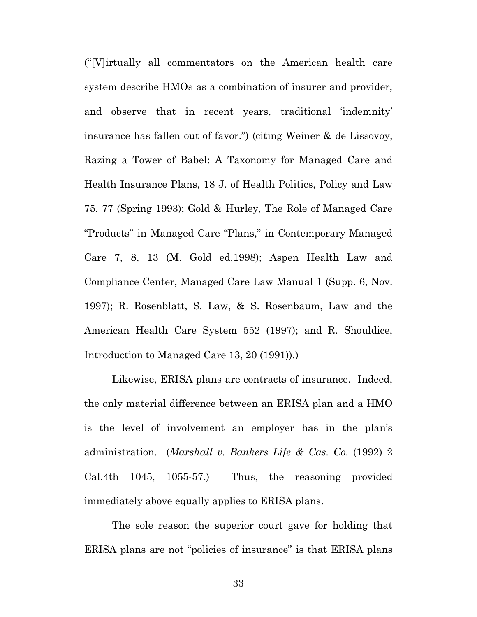("[V]irtually all commentators on the American health care system describe HMOs as a combination of insurer and provider, and observe that in recent years, traditional 'indemnity' insurance has fallen out of favor.") (citing Weiner & de Lissovoy, Razing a Tower of Babel: A Taxonomy for Managed Care and Health Insurance Plans, 18 J. of Health Politics, Policy and Law 75, 77 (Spring 1993); Gold & Hurley, The Role of Managed Care "Products" in Managed Care "Plans," in Contemporary Managed Care 7, 8, 13 (M. Gold ed.1998); Aspen Health Law and Compliance Center, Managed Care Law Manual 1 (Supp. 6, Nov. 1997); R. Rosenblatt, S. Law, & S. Rosenbaum, Law and the American Health Care System 552 (1997); and R. Shouldice, Introduction to Managed Care 13, 20 (1991)).)

 Likewise, ERISA plans are contracts of insurance. Indeed, the only material difference between an ERISA plan and a HMO is the level of involvement an employer has in the plan's administration. (*Marshall v. Bankers Life & Cas. Co.* (1992) 2 Cal.4th 1045, 1055-57.) Thus, the reasoning provided immediately above equally applies to ERISA plans.

 The sole reason the superior court gave for holding that ERISA plans are not "policies of insurance" is that ERISA plans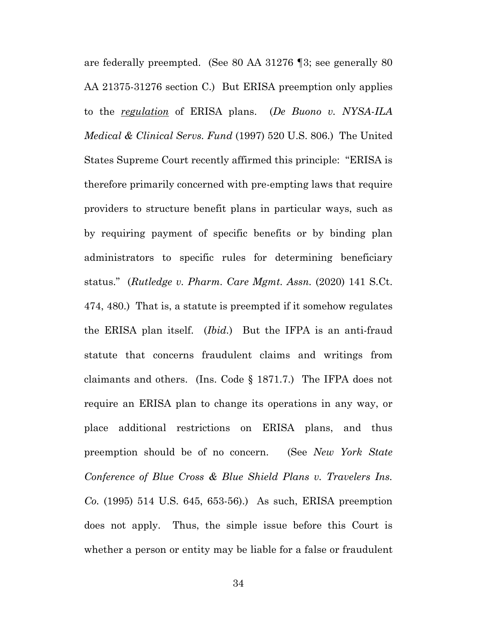are federally preempted. (See 80 AA 31276 ¶3; see generally 80 AA 21375-31276 section C.) But ERISA preemption only applies to the *regulation* of ERISA plans. (*De Buono v. NYSA-ILA Medical & Clinical Servs. Fund* (1997) 520 U.S. 806.) The United States Supreme Court recently affirmed this principle: "ERISA is therefore primarily concerned with pre-empting laws that require providers to structure benefit plans in particular ways, such as by requiring payment of specific benefits or by binding plan administrators to specific rules for determining beneficiary status." (*Rutledge v. Pharm. Care Mgmt. Assn.* (2020) 141 S.Ct. 474, 480.) That is, a statute is preempted if it somehow regulates the ERISA plan itself. (*Ibid.*) But the IFPA is an anti-fraud statute that concerns fraudulent claims and writings from claimants and others. (Ins. Code § 1871.7.) The IFPA does not require an ERISA plan to change its operations in any way, or place additional restrictions on ERISA plans, and thus preemption should be of no concern. (See *New York State Conference of Blue Cross & Blue Shield Plans v. Travelers Ins. Co.* (1995) 514 U.S. 645, 653-56).) As such, ERISA preemption does not apply. Thus, the simple issue before this Court is whether a person or entity may be liable for a false or fraudulent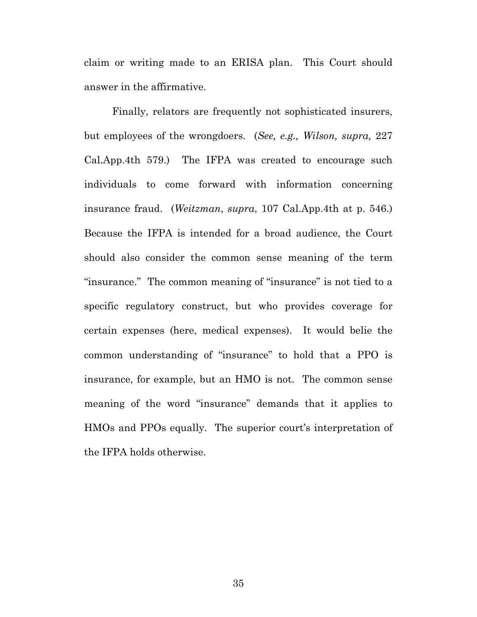claim or writing made to an ERISA plan. This Court should answer in the affirmative.

 Finally, relators are frequently not sophisticated insurers, but employees of the wrongdoers. (*See, e.g., Wilson, supra,* 227 Cal.App.4th 579.) The IFPA was created to encourage such individuals to come forward with information concerning insurance fraud. (*Weitzman*, *supra*, 107 Cal.App.4th at p. 546.) Because the IFPA is intended for a broad audience, the Court should also consider the common sense meaning of the term "insurance." The common meaning of "insurance" is not tied to a specific regulatory construct, but who provides coverage for certain expenses (here, medical expenses). It would belie the common understanding of "insurance" to hold that a PPO is insurance, for example, but an HMO is not. The common sense meaning of the word "insurance" demands that it applies to HMOs and PPOs equally. The superior court's interpretation of the IFPA holds otherwise.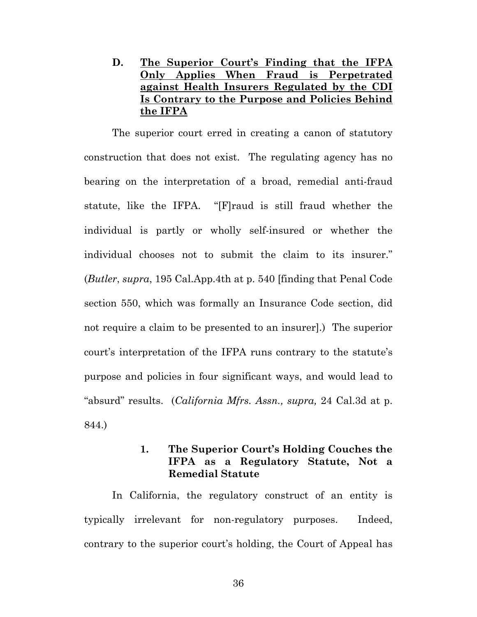**D. The Superior Court's Finding that the IFPA Only Applies When Fraud is Perpetrated against Health Insurers Regulated by the CDI Is Contrary to the Purpose and Policies Behind the IFPA** 

 The superior court erred in creating a canon of statutory construction that does not exist. The regulating agency has no bearing on the interpretation of a broad, remedial anti-fraud statute, like the IFPA. "[F]raud is still fraud whether the individual is partly or wholly self-insured or whether the individual chooses not to submit the claim to its insurer." (*Butler*, *supra*, 195 Cal.App.4th at p. 540 [finding that Penal Code section 550, which was formally an Insurance Code section, did not require a claim to be presented to an insurer].) The superior court's interpretation of the IFPA runs contrary to the statute's purpose and policies in four significant ways, and would lead to "absurd" results. (*California Mfrs. Assn., supra,* 24 Cal.3d at p. 844.)

### **1. The Superior Court's Holding Couches the IFPA as a Regulatory Statute, Not a Remedial Statute**

 In California, the regulatory construct of an entity is typically irrelevant for non-regulatory purposes. Indeed, contrary to the superior court's holding, the Court of Appeal has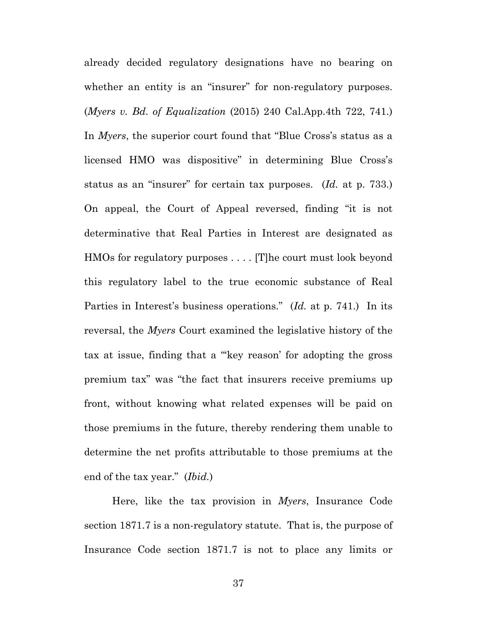already decided regulatory designations have no bearing on whether an entity is an "insurer" for non-regulatory purposes. (*Myers v. Bd. of Equalization* (2015) 240 Cal.App.4th 722, 741.) In *Myers*, the superior court found that "Blue Cross's status as a licensed HMO was dispositive" in determining Blue Cross's status as an "insurer" for certain tax purposes. (*Id.* at p. 733.) On appeal, the Court of Appeal reversed, finding "it is not determinative that Real Parties in Interest are designated as HMOs for regulatory purposes . . . . [T]he court must look beyond this regulatory label to the true economic substance of Real Parties in Interest's business operations." (*Id.* at p. 741.) In its reversal, the *Myers* Court examined the legislative history of the tax at issue, finding that a "'key reason' for adopting the gross premium tax" was "the fact that insurers receive premiums up front, without knowing what related expenses will be paid on those premiums in the future, thereby rendering them unable to determine the net profits attributable to those premiums at the end of the tax year." (*Ibid.*)

 Here, like the tax provision in *Myers*, Insurance Code section 1871.7 is a non-regulatory statute. That is, the purpose of Insurance Code section 1871.7 is not to place any limits or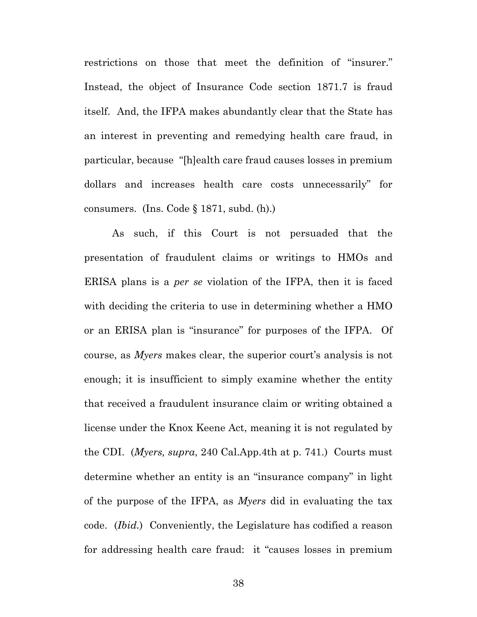restrictions on those that meet the definition of "insurer." Instead, the object of Insurance Code section 1871.7 is fraud itself. And, the IFPA makes abundantly clear that the State has an interest in preventing and remedying health care fraud, in particular, because "[h]ealth care fraud causes losses in premium dollars and increases health care costs unnecessarily" for consumers. (Ins. Code § 1871, subd. (h).)

 As such, if this Court is not persuaded that the presentation of fraudulent claims or writings to HMOs and ERISA plans is a *per se* violation of the IFPA, then it is faced with deciding the criteria to use in determining whether a HMO or an ERISA plan is "insurance" for purposes of the IFPA. Of course, as *Myers* makes clear, the superior court's analysis is not enough; it is insufficient to simply examine whether the entity that received a fraudulent insurance claim or writing obtained a license under the Knox Keene Act, meaning it is not regulated by the CDI. (*Myers, supra*, 240 Cal.App.4th at p. 741.) Courts must determine whether an entity is an "insurance company" in light of the purpose of the IFPA, as *Myers* did in evaluating the tax code. (*Ibid.*) Conveniently, the Legislature has codified a reason for addressing health care fraud: it "causes losses in premium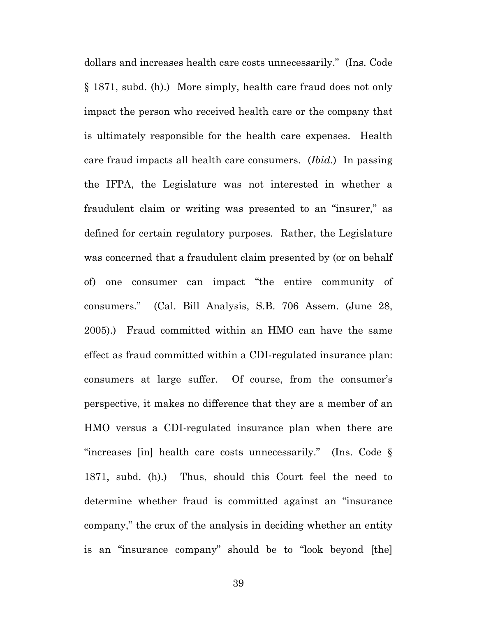dollars and increases health care costs unnecessarily." (Ins. Code § 1871, subd. (h).) More simply, health care fraud does not only impact the person who received health care or the company that is ultimately responsible for the health care expenses. Health care fraud impacts all health care consumers. (*Ibid*.) In passing the IFPA, the Legislature was not interested in whether a fraudulent claim or writing was presented to an "insurer," as defined for certain regulatory purposes. Rather, the Legislature was concerned that a fraudulent claim presented by (or on behalf of) one consumer can impact "the entire community of consumers." (Cal. Bill Analysis, S.B. 706 Assem. (June 28, 2005).) Fraud committed within an HMO can have the same effect as fraud committed within a CDI-regulated insurance plan: consumers at large suffer. Of course, from the consumer's perspective, it makes no difference that they are a member of an HMO versus a CDI-regulated insurance plan when there are "increases [in] health care costs unnecessarily." (Ins. Code § 1871, subd. (h).) Thus, should this Court feel the need to determine whether fraud is committed against an "insurance company," the crux of the analysis in deciding whether an entity is an "insurance company" should be to "look beyond [the]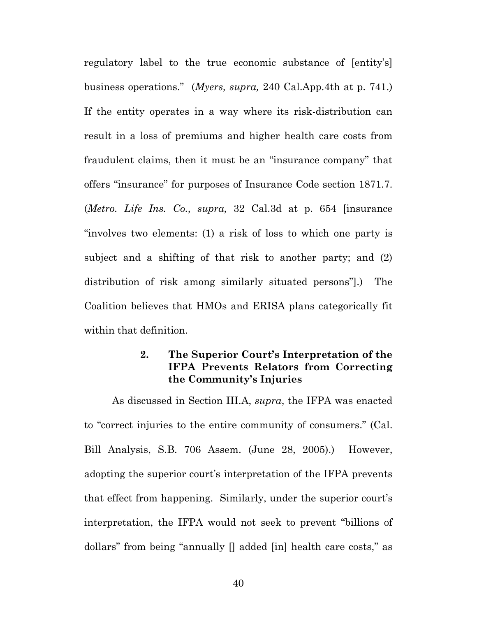regulatory label to the true economic substance of [entity's] business operations." (*Myers, supra,* 240 Cal.App.4th at p. 741.) If the entity operates in a way where its risk-distribution can result in a loss of premiums and higher health care costs from fraudulent claims, then it must be an "insurance company" that offers "insurance" for purposes of Insurance Code section 1871.7. (*Metro. Life Ins. Co., supra,* 32 Cal.3d at p. 654 [insurance "involves two elements: (1) a risk of loss to which one party is subject and a shifting of that risk to another party; and (2) distribution of risk among similarly situated persons"].) The Coalition believes that HMOs and ERISA plans categorically fit within that definition.

## **2. The Superior Court's Interpretation of the IFPA Prevents Relators from Correcting the Community's Injuries**

 As discussed in Section III.A, *supra*, the IFPA was enacted to "correct injuries to the entire community of consumers." (Cal. Bill Analysis, S.B. 706 Assem. (June 28, 2005).) However, adopting the superior court's interpretation of the IFPA prevents that effect from happening. Similarly, under the superior court's interpretation, the IFPA would not seek to prevent "billions of dollars" from being "annually [] added [in] health care costs," as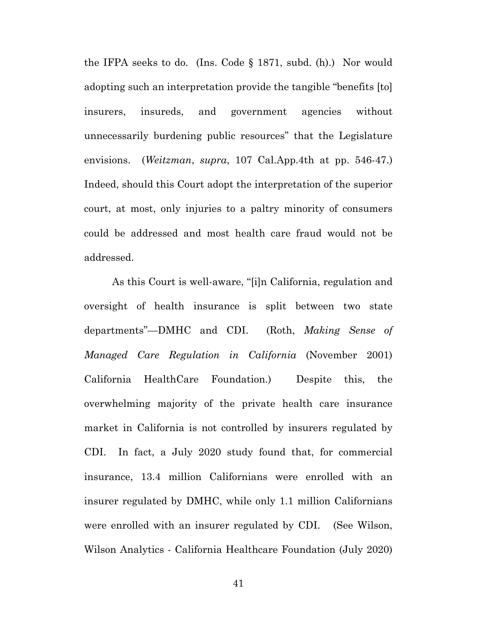the IFPA seeks to do. (Ins. Code § 1871, subd. (h).) Nor would adopting such an interpretation provide the tangible "benefits [to] insurers, insureds, and government agencies without unnecessarily burdening public resources" that the Legislature envisions. (*Weitzman*, *supra*, 107 Cal.App.4th at pp. 546-47.) Indeed, should this Court adopt the interpretation of the superior court, at most, only injuries to a paltry minority of consumers could be addressed and most health care fraud would not be addressed.

 As this Court is well-aware, "[i]n California, regulation and oversight of health insurance is split between two state departments"—DMHC and CDI. (Roth, *Making Sense of Managed Care Regulation in California* (November 2001) California HealthCare Foundation.) Despite this, the overwhelming majority of the private health care insurance market in California is not controlled by insurers regulated by CDI. In fact, a July 2020 study found that, for commercial insurance, 13.4 million Californians were enrolled with an insurer regulated by DMHC, while only 1.1 million Californians were enrolled with an insurer regulated by CDI. (See Wilson, Wilson Analytics - California Healthcare Foundation (July 2020)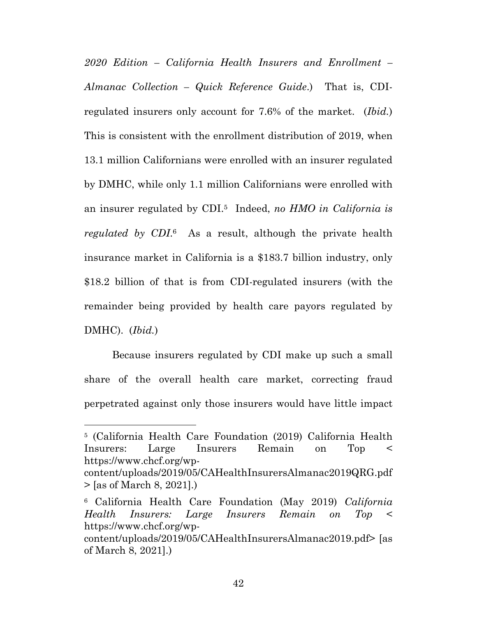*2020 Edition – California Health Insurers and Enrollment – Almanac Collection – Quick Reference Guide*.) That is, CDIregulated insurers only account for 7.6% of the market. (*Ibid.*) This is consistent with the enrollment distribution of 2019, when 13.1 million Californians were enrolled with an insurer regulated by DMHC, while only 1.1 million Californians were enrolled with an insurer regulated by CDI.5 Indeed, *no HMO in California is regulated by CDI*.6 As a result, although the private health insurance market in California is a \$183.7 billion industry, only \$18.2 billion of that is from CDI-regulated insurers (with the remainder being provided by health care payors regulated by DMHC). (*Ibid.*)

 Because insurers regulated by CDI make up such a small share of the overall health care market, correcting fraud perpetrated against only those insurers would have little impact

 $\overline{a}$ 

<sup>5 (</sup>California Health Care Foundation (2019) California Health Insurers: Large Insurers Remain on Top < https://www.chcf.org/wp-

content/uploads/2019/05/CAHealthInsurersAlmanac2019QRG.pdf > [as of March 8, 2021].)

<sup>6</sup> California Health Care Foundation (May 2019) *California Health Insurers: Large Insurers Remain on Top* < https://www.chcf.org/wp-

content/uploads/2019/05/CAHealthInsurersAlmanac2019.pdf> [as of March 8, 2021].)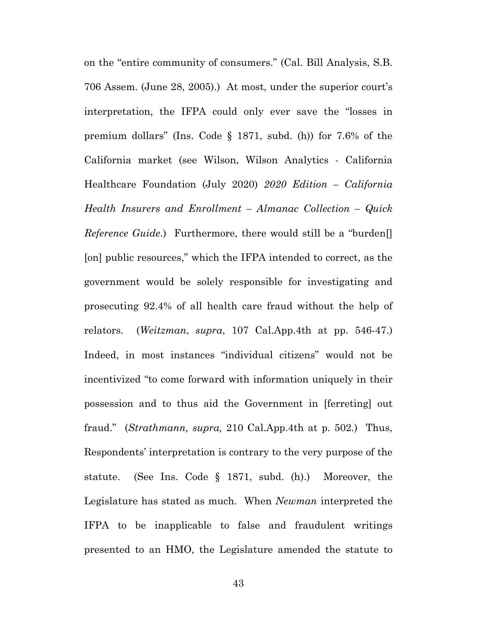on the "entire community of consumers." (Cal. Bill Analysis, S.B. 706 Assem. (June 28, 2005).) At most, under the superior court's interpretation, the IFPA could only ever save the "losses in premium dollars" (Ins. Code § 1871, subd. (h)) for 7.6% of the California market (see Wilson, Wilson Analytics - California Healthcare Foundation (July 2020) *2020 Edition – California Health Insurers and Enrollment – Almanac Collection – Quick Reference Guide*.) Furthermore, there would still be a "burden[] [on] public resources," which the IFPA intended to correct, as the government would be solely responsible for investigating and prosecuting 92.4% of all health care fraud without the help of relators. (*Weitzman*, *supra*, 107 Cal.App.4th at pp. 546-47.) Indeed, in most instances "individual citizens" would not be incentivized "to come forward with information uniquely in their possession and to thus aid the Government in [ferreting] out fraud." (*Strathmann, supra,* 210 Cal.App.4th at p. 502.) Thus, Respondents' interpretation is contrary to the very purpose of the statute. (See Ins. Code § 1871, subd. (h).) Moreover, the Legislature has stated as much. When *Newman* interpreted the IFPA to be inapplicable to false and fraudulent writings presented to an HMO, the Legislature amended the statute to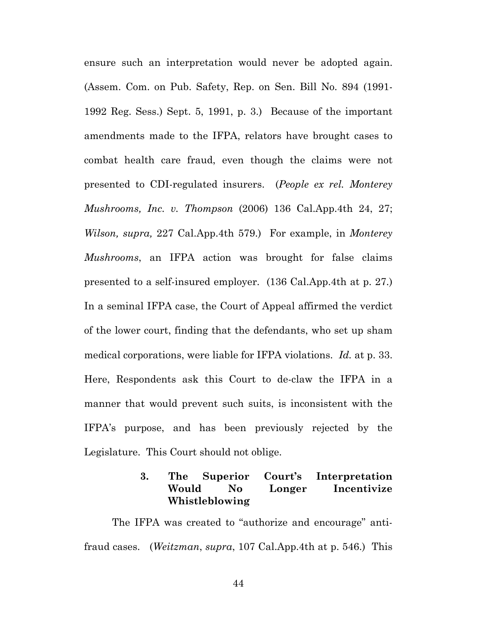ensure such an interpretation would never be adopted again. (Assem. Com. on Pub. Safety, Rep. on Sen. Bill No. 894 (1991- 1992 Reg. Sess.) Sept. 5, 1991, p. 3.) Because of the important amendments made to the IFPA, relators have brought cases to combat health care fraud, even though the claims were not presented to CDI-regulated insurers. (*People ex rel. Monterey Mushrooms, Inc. v. Thompson* (2006) 136 Cal.App.4th 24, 27; *Wilson, supra,* 227 Cal.App.4th 579.) For example, in *Monterey Mushrooms*, an IFPA action was brought for false claims presented to a self-insured employer. (136 Cal.App.4th at p. 27.) In a seminal IFPA case, the Court of Appeal affirmed the verdict of the lower court, finding that the defendants, who set up sham medical corporations, were liable for IFPA violations. *Id.* at p. 33. Here, Respondents ask this Court to de-claw the IFPA in a manner that would prevent such suits, is inconsistent with the IFPA's purpose, and has been previously rejected by the Legislature. This Court should not oblige.

## **3. The Superior Court's Interpretation Would No Longer Incentivize Whistleblowing**

 The IFPA was created to "authorize and encourage" antifraud cases. (*Weitzman*, *supra*, 107 Cal.App.4th at p. 546.) This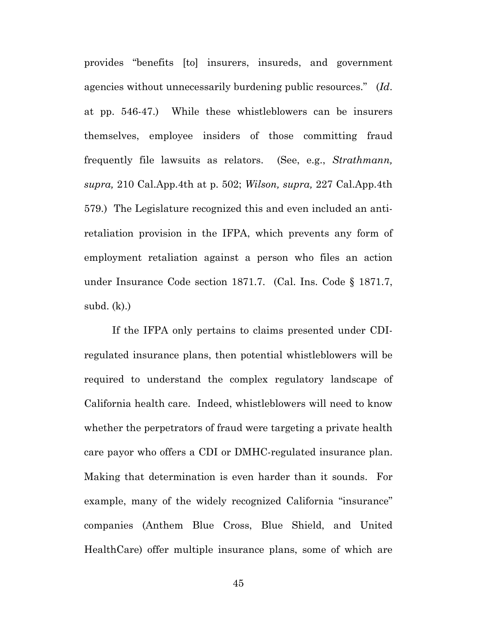provides "benefits [to] insurers, insureds, and government agencies without unnecessarily burdening public resources." (*Id*. at pp. 546-47.) While these whistleblowers can be insurers themselves, employee insiders of those committing fraud frequently file lawsuits as relators. (See, e.g., *Strathmann, supra,* 210 Cal.App.4th at p. 502; *Wilson, supra,* 227 Cal.App.4th 579.) The Legislature recognized this and even included an antiretaliation provision in the IFPA, which prevents any form of employment retaliation against a person who files an action under Insurance Code section 1871.7. (Cal. Ins. Code § 1871.7, subd. (k).)

 If the IFPA only pertains to claims presented under CDIregulated insurance plans, then potential whistleblowers will be required to understand the complex regulatory landscape of California health care. Indeed, whistleblowers will need to know whether the perpetrators of fraud were targeting a private health care payor who offers a CDI or DMHC-regulated insurance plan. Making that determination is even harder than it sounds. For example, many of the widely recognized California "insurance" companies (Anthem Blue Cross, Blue Shield, and United HealthCare) offer multiple insurance plans, some of which are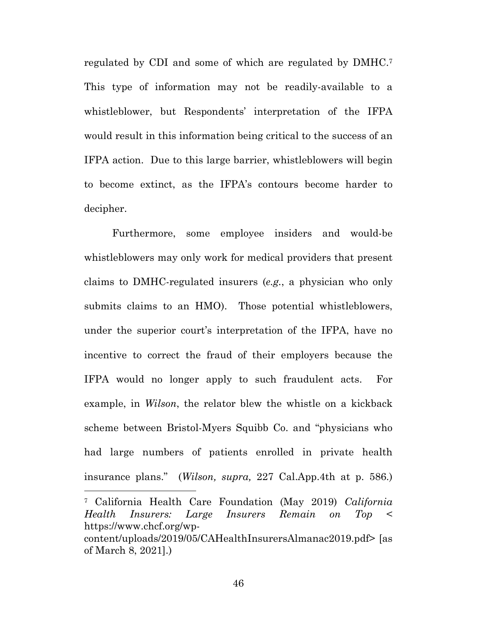regulated by CDI and some of which are regulated by DMHC.7 This type of information may not be readily-available to a whistleblower, but Respondents' interpretation of the IFPA would result in this information being critical to the success of an IFPA action. Due to this large barrier, whistleblowers will begin to become extinct, as the IFPA's contours become harder to decipher.

 Furthermore, some employee insiders and would-be whistleblowers may only work for medical providers that present claims to DMHC-regulated insurers (*e.g.*, a physician who only submits claims to an HMO). Those potential whistleblowers, under the superior court's interpretation of the IFPA, have no incentive to correct the fraud of their employers because the IFPA would no longer apply to such fraudulent acts. For example, in *Wilson*, the relator blew the whistle on a kickback scheme between Bristol-Myers Squibb Co. and "physicians who had large numbers of patients enrolled in private health insurance plans." (*Wilson, supra,* 227 Cal.App.4th at p. 586.)

<sup>7</sup> California Health Care Foundation (May 2019) *California Health Insurers: Large Insurers Remain on Top* < https://www.chcf.org/wpcontent/uploads/2019/05/CAHealthInsurersAlmanac2019.pdf> [as of March 8, 2021].)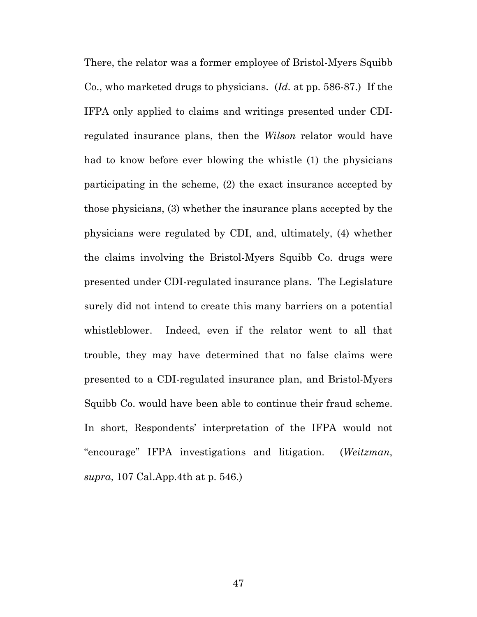There, the relator was a former employee of Bristol-Myers Squibb Co., who marketed drugs to physicians. (*Id.* at pp. 586-87.) If the IFPA only applied to claims and writings presented under CDIregulated insurance plans, then the *Wilson* relator would have had to know before ever blowing the whistle (1) the physicians participating in the scheme, (2) the exact insurance accepted by those physicians, (3) whether the insurance plans accepted by the physicians were regulated by CDI, and, ultimately, (4) whether the claims involving the Bristol-Myers Squibb Co. drugs were presented under CDI-regulated insurance plans. The Legislature surely did not intend to create this many barriers on a potential whistleblower. Indeed, even if the relator went to all that trouble, they may have determined that no false claims were presented to a CDI-regulated insurance plan, and Bristol-Myers Squibb Co. would have been able to continue their fraud scheme. In short, Respondents' interpretation of the IFPA would not "encourage" IFPA investigations and litigation. (*Weitzman*, *supra*, 107 Cal.App.4th at p. 546.)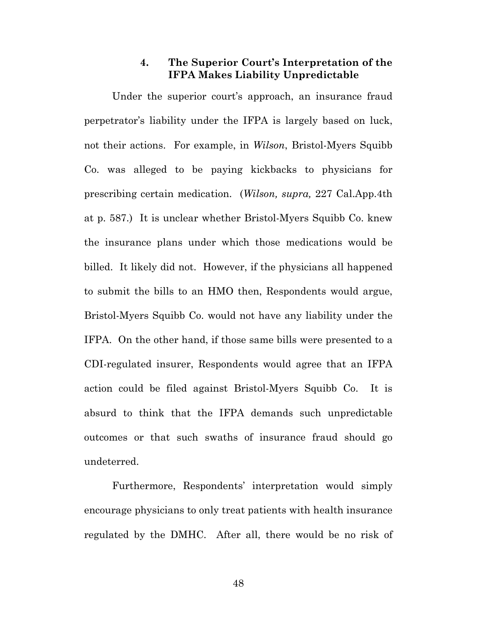#### **4. The Superior Court's Interpretation of the IFPA Makes Liability Unpredictable**

 Under the superior court's approach, an insurance fraud perpetrator's liability under the IFPA is largely based on luck, not their actions. For example, in *Wilson*, Bristol-Myers Squibb Co. was alleged to be paying kickbacks to physicians for prescribing certain medication. (*Wilson, supra,* 227 Cal.App.4th at p. 587.) It is unclear whether Bristol-Myers Squibb Co. knew the insurance plans under which those medications would be billed. It likely did not. However, if the physicians all happened to submit the bills to an HMO then, Respondents would argue, Bristol-Myers Squibb Co. would not have any liability under the IFPA. On the other hand, if those same bills were presented to a CDI-regulated insurer, Respondents would agree that an IFPA action could be filed against Bristol-Myers Squibb Co. It is absurd to think that the IFPA demands such unpredictable outcomes or that such swaths of insurance fraud should go undeterred.

 Furthermore, Respondents' interpretation would simply encourage physicians to only treat patients with health insurance regulated by the DMHC. After all, there would be no risk of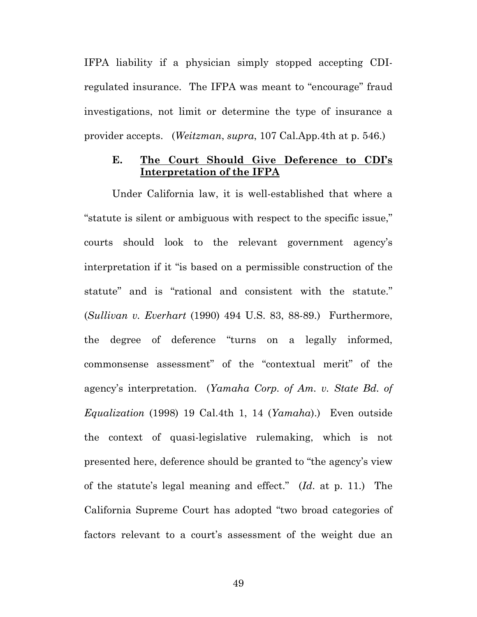IFPA liability if a physician simply stopped accepting CDIregulated insurance. The IFPA was meant to "encourage" fraud investigations, not limit or determine the type of insurance a provider accepts. (*Weitzman*, *supra*, 107 Cal.App.4th at p. 546.)

## **E. The Court Should Give Deference to CDI's Interpretation of the IFPA**

 Under California law, it is well-established that where a "statute is silent or ambiguous with respect to the specific issue," courts should look to the relevant government agency's interpretation if it "is based on a permissible construction of the statute" and is "rational and consistent with the statute." (*Sullivan v. Everhart* (1990) 494 U.S. 83, 88-89.) Furthermore, the degree of deference "turns on a legally informed, commonsense assessment" of the "contextual merit" of the agency's interpretation. (*Yamaha Corp. of Am. v. State Bd. of Equalization* (1998) 19 Cal.4th 1, 14 (*Yamaha*).) Even outside the context of quasi-legislative rulemaking, which is not presented here, deference should be granted to "the agency's view of the statute's legal meaning and effect." (*Id*. at p. 11.) The California Supreme Court has adopted "two broad categories of factors relevant to a court's assessment of the weight due an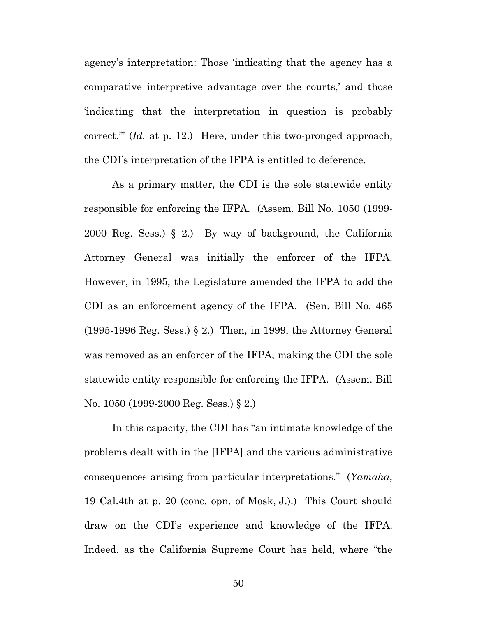agency's interpretation: Those 'indicating that the agency has a comparative interpretive advantage over the courts,' and those 'indicating that the interpretation in question is probably correct.'" (*Id.* at p. 12.) Here, under this two-pronged approach, the CDI's interpretation of the IFPA is entitled to deference.

 As a primary matter, the CDI is the sole statewide entity responsible for enforcing the IFPA. (Assem. Bill No. 1050 (1999- 2000 Reg. Sess.) § 2.) By way of background, the California Attorney General was initially the enforcer of the IFPA. However, in 1995, the Legislature amended the IFPA to add the CDI as an enforcement agency of the IFPA. (Sen. Bill No. 465 (1995-1996 Reg. Sess.) § 2.) Then, in 1999, the Attorney General was removed as an enforcer of the IFPA, making the CDI the sole statewide entity responsible for enforcing the IFPA. (Assem. Bill No. 1050 (1999-2000 Reg. Sess.) § 2.)

 In this capacity, the CDI has "an intimate knowledge of the problems dealt with in the [IFPA] and the various administrative consequences arising from particular interpretations." (*Yamaha*, 19 Cal.4th at p. 20 (conc. opn. of Mosk, J.).) This Court should draw on the CDI's experience and knowledge of the IFPA. Indeed, as the California Supreme Court has held, where "the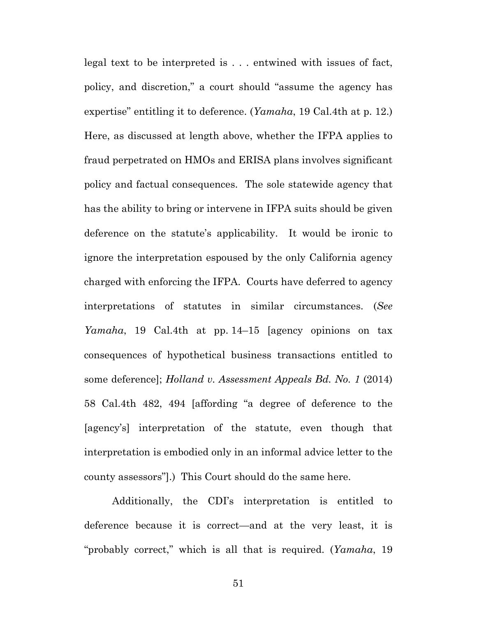legal text to be interpreted is . . . entwined with issues of fact, policy, and discretion," a court should "assume the agency has expertise" entitling it to deference. (*Yamaha*, 19 Cal.4th at p. 12.) Here, as discussed at length above, whether the IFPA applies to fraud perpetrated on HMOs and ERISA plans involves significant policy and factual consequences. The sole statewide agency that has the ability to bring or intervene in IFPA suits should be given deference on the statute's applicability. It would be ironic to ignore the interpretation espoused by the only California agency charged with enforcing the IFPA. Courts have deferred to agency interpretations of statutes in similar circumstances. (*See Yamaha*, 19 Cal.4th at pp. 14–15 [agency opinions on tax consequences of hypothetical business transactions entitled to some deference]; *Holland v. Assessment Appeals Bd. No. 1* (2014) 58 Cal.4th 482, 494 [affording "a degree of deference to the [agency's] interpretation of the statute, even though that interpretation is embodied only in an informal advice letter to the county assessors"].) This Court should do the same here.

 Additionally, the CDI's interpretation is entitled to deference because it is correct—and at the very least, it is "probably correct," which is all that is required. (*Yamaha*, 19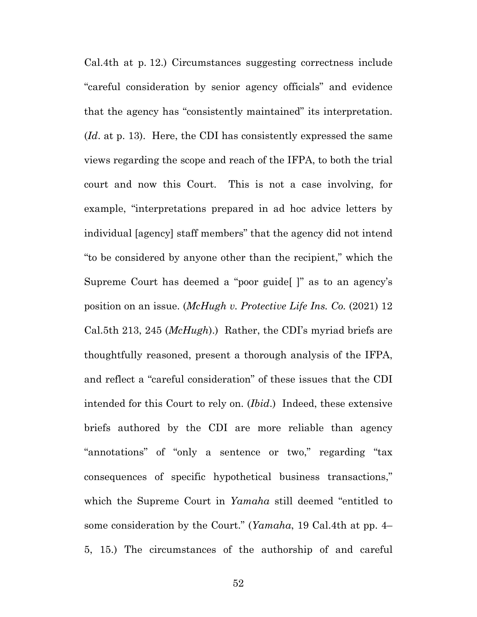Cal.4th at p. 12.) Circumstances suggesting correctness include "careful consideration by senior agency officials" and evidence that the agency has "consistently maintained" its interpretation. (*Id*. at p. 13). Here, the CDI has consistently expressed the same views regarding the scope and reach of the IFPA, to both the trial court and now this Court. This is not a case involving, for example, "interpretations prepared in ad hoc advice letters by individual [agency] staff members" that the agency did not intend "to be considered by anyone other than the recipient," which the Supreme Court has deemed a "poor guide[ ]" as to an agency's position on an issue. (*McHugh v. Protective Life Ins. Co.* (2021) 12 Cal.5th 213, 245 (*McHugh*).) Rather, the CDI's myriad briefs are thoughtfully reasoned, present a thorough analysis of the IFPA, and reflect a "careful consideration" of these issues that the CDI intended for this Court to rely on. (*Ibid*.) Indeed, these extensive briefs authored by the CDI are more reliable than agency "annotations" of "only a sentence or two," regarding "tax consequences of specific hypothetical business transactions," which the Supreme Court in *Yamaha* still deemed "entitled to some consideration by the Court." (*Yamaha*, 19 Cal.4th at pp. 4– 5, 15.) The circumstances of the authorship of and careful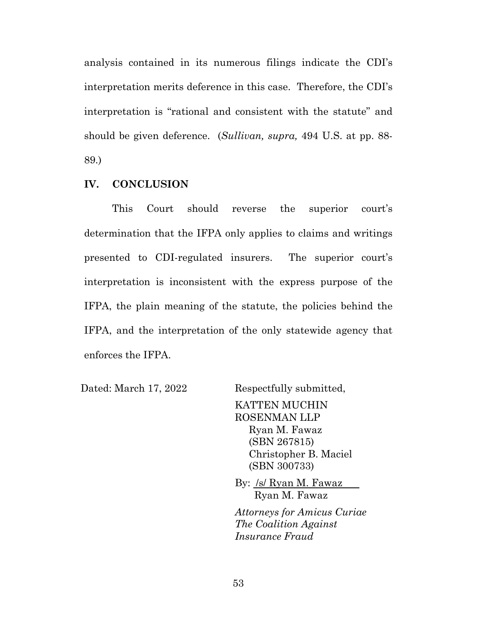analysis contained in its numerous filings indicate the CDI's interpretation merits deference in this case. Therefore, the CDI's interpretation is "rational and consistent with the statute" and should be given deference. (*Sullivan, supra,* 494 U.S. at pp. 88- 89.)

#### **IV. CONCLUSION**

 This Court should reverse the superior court's determination that the IFPA only applies to claims and writings presented to CDI-regulated insurers. The superior court's interpretation is inconsistent with the express purpose of the IFPA, the plain meaning of the statute, the policies behind the IFPA, and the interpretation of the only statewide agency that enforces the IFPA.

Dated: March 17, 2022 Respectfully submitted,

KATTEN MUCHIN ROSENMAN LLP Ryan M. Fawaz (SBN 267815) Christopher B. Maciel (SBN 300733)

By: /s/ Ryan M. Fawaz Ryan M. Fawaz

*Attorneys for Amicus Curiae The Coalition Against Insurance Fraud*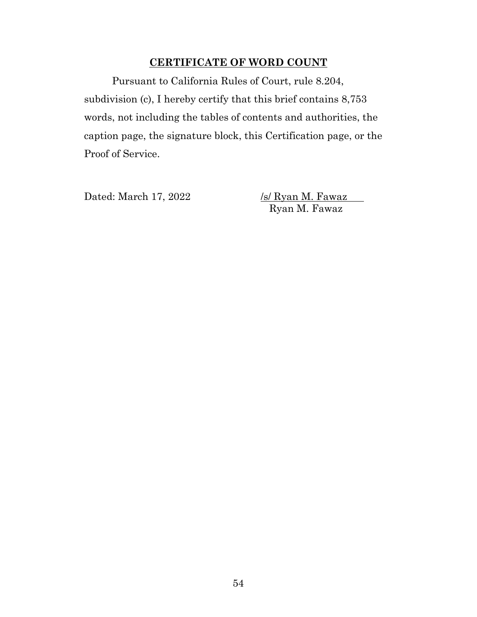### **CERTIFICATE OF WORD COUNT**

 Pursuant to California Rules of Court, rule 8.204, subdivision (c), I hereby certify that this brief contains 8,753 words, not including the tables of contents and authorities, the caption page, the signature block, this Certification page, or the Proof of Service.

Dated: March 17, 2022 */s/ Ryan M. Fawaz* 

Ryan M. Fawaz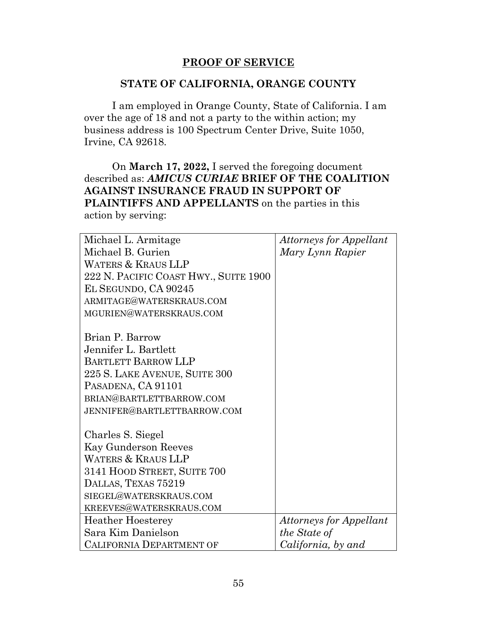## **PROOF OF SERVICE**

### **STATE OF CALIFORNIA, ORANGE COUNTY**

 I am employed in Orange County, State of California. I am over the age of 18 and not a party to the within action; my business address is 100 Spectrum Center Drive, Suite 1050, Irvine, CA 92618.

 On **March 17, 2022,** I served the foregoing document described as: *AMICUS CURIAE* **BRIEF OF THE COALITION AGAINST INSURANCE FRAUD IN SUPPORT OF PLAINTIFFS AND APPELLANTS** on the parties in this action by serving:

| Michael L. Armitage                   | <b>Attorneys for Appellant</b> |
|---------------------------------------|--------------------------------|
| Michael B. Gurien                     | Mary Lynn Rapier               |
| <b>WATERS &amp; KRAUS LLP</b>         |                                |
| 222 N. PACIFIC COAST HWY., SUITE 1900 |                                |
| EL SEGUNDO, CA 90245                  |                                |
| ARMITAGE@WATERSKRAUS.COM              |                                |
| MGURIEN@WATERSKRAUS.COM               |                                |
|                                       |                                |
| Brian P. Barrow                       |                                |
| Jennifer L. Bartlett                  |                                |
| <b>BARTLETT BARROW LLP</b>            |                                |
| 225 S. LAKE AVENUE, SUITE 300         |                                |
| PASADENA, CA 91101                    |                                |
| BRIAN@BARTLETTBARROW.COM              |                                |
| JENNIFER@BARTLETTBARROW.COM           |                                |
| Charles S. Siegel                     |                                |
| Kay Gunderson Reeves                  |                                |
| <b>WATERS &amp; KRAUS LLP</b>         |                                |
| 3141 HOOD STREET, SUITE 700           |                                |
|                                       |                                |
| DALLAS, TEXAS 75219                   |                                |
| SIEGEL@WATERSKRAUS.COM                |                                |
| KREEVES@WATERSKRAUS.COM               |                                |
| <b>Heather Hoesterey</b>              | <b>Attorneys for Appellant</b> |
| Sara Kim Danielson                    | the State of                   |
| <b>CALIFORNIA DEPARTMENT OF</b>       | California, by and             |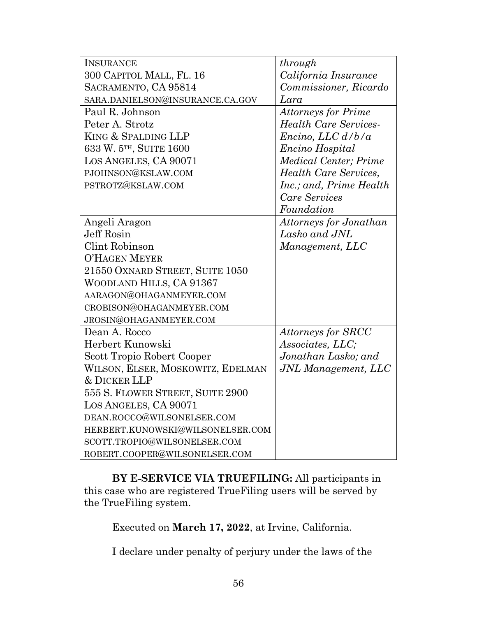| <b>INSURANCE</b>                    | through                       |
|-------------------------------------|-------------------------------|
| 300 CAPITOL MALL, FL. 16            | California Insurance          |
| SACRAMENTO, CA 95814                | Commissioner, Ricardo         |
| SARA.DANIELSON@INSURANCE.CA.GOV     | Lara                          |
| Paul R. Johnson                     | <b>Attorneys for Prime</b>    |
| Peter A. Strotz                     | <b>Health Care Services-</b>  |
| KING & SPALDING LLP                 | Encino, LLC d/b/a             |
| 633 W. 5 <sup>TH</sup> , SUITE 1600 | Encino Hospital               |
| LOS ANGELES, CA 90071               | <b>Medical Center</b> ; Prime |
| PJOHNSON@KSLAW.COM                  | <b>Health Care Services,</b>  |
| PSTROTZ@KSLAW.COM                   | Inc.; and, Prime Health       |
|                                     | Care Services                 |
|                                     | Foundation                    |
| Angeli Aragon                       | Attorneys for Jonathan        |
| Jeff Rosin                          | Lasko and JNL                 |
| Clint Robinson                      | Management, LLC               |
| <b>O'HAGEN MEYER</b>                |                               |
| 21550 OXNARD STREET, SUITE 1050     |                               |
| WOODLAND HILLS, CA 91367            |                               |
| AARAGON@OHAGANMEYER.COM             |                               |
| CROBISON@OHAGANMEYER.COM            |                               |
| JROSIN@OHAGANMEYER.COM              |                               |
| Dean A. Rocco                       | <b>Attorneys for SRCC</b>     |
| Herbert Kunowski                    | Associates, LLC;              |
| Scott Tropio Robert Cooper          | Jonathan Lasko; and           |
| WILSON, ELSER, MOSKOWITZ, EDELMAN   | JNL Management, LLC           |
| <b>&amp; DICKER LLP</b>             |                               |
| 555 S. FLOWER STREET, SUITE 2900    |                               |
| LOS ANGELES, CA 90071               |                               |
| DEAN.ROCCO@WILSONELSER.COM          |                               |
| HERBERT.KUNOWSKI@WILSONELSER.COM    |                               |
| SCOTT.TROPIO@WILSONELSER.COM        |                               |
| ROBERT.COOPER@WILSONELSER.COM       |                               |

 **BY E-SERVICE VIA TRUEFILING:** All participants in this case who are registered TrueFiling users will be served by the TrueFiling system.

Executed on **March 17, 2022**, at Irvine, California.

I declare under penalty of perjury under the laws of the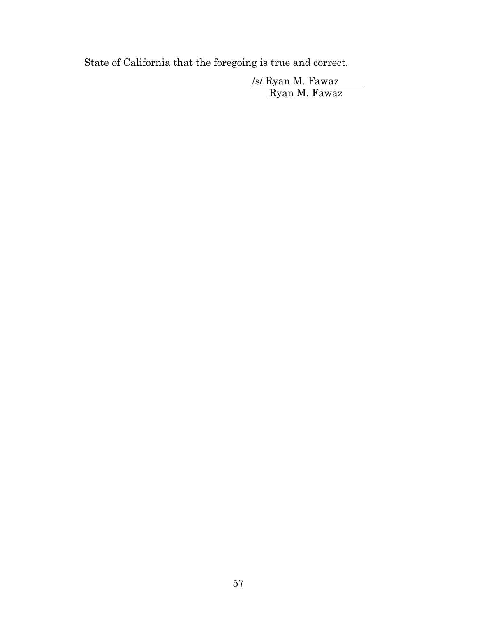State of California that the foregoing is true and correct.

 /s/ Ryan M. Fawaz Ryan M. Fawaz